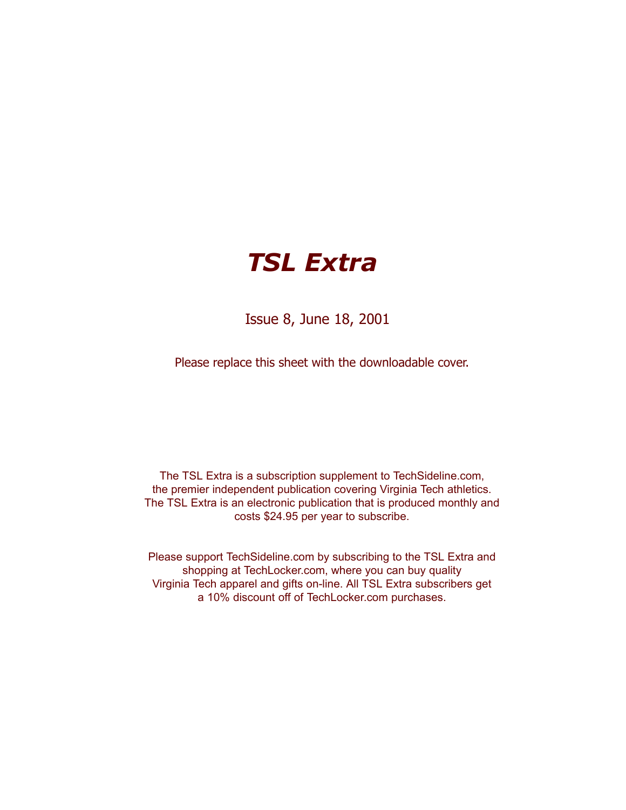# *TSL Extra*

Issue 8, June 18, 2001

Please replace this sheet with the downloadable cover.

The TSL Extra is a subscription supplement to TechSideline.com, the premier independent publication covering Virginia Tech athletics. The TSL Extra is an electronic publication that is produced monthly and costs \$24.95 per year to subscribe.

Please support TechSideline.com by subscribing to the TSL Extra and shopping at TechLocker.com, where you can buy quality Virginia Tech apparel and gifts on-line. All TSL Extra subscribers get a 10% discount off of TechLocker.com purchases.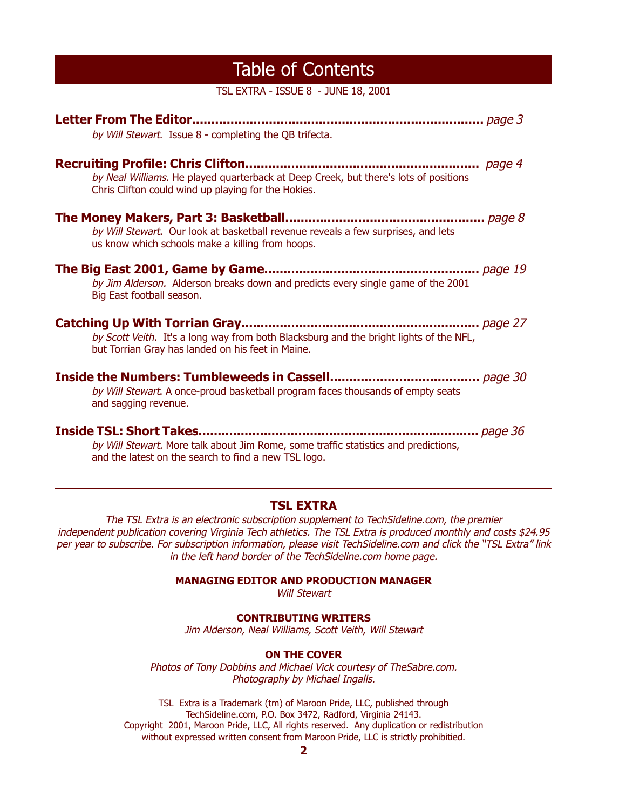### Table of Contents

TSL EXTRA - ISSUE 8 - JUNE 18, 2001

| by Will Stewart. Issue 8 - completing the QB trifecta.                                                                                      |
|---------------------------------------------------------------------------------------------------------------------------------------------|
| by Neal Williams. He played quarterback at Deep Creek, but there's lots of positions<br>Chris Clifton could wind up playing for the Hokies. |
| by Will Stewart. Our look at basketball revenue reveals a few surprises, and lets<br>us know which schools make a killing from hoops.       |
| by Jim Alderson. Alderson breaks down and predicts every single game of the 2001<br>Big East football season.                               |
| by Scott Veith. It's a long way from both Blacksburg and the bright lights of the NFL,<br>but Torrian Gray has landed on his feet in Maine. |
| by Will Stewart. A once-proud basketball program faces thousands of empty seats<br>and sagging revenue.                                     |
| by Will Stewart. More talk about Jim Rome, some traffic statistics and predictions,<br>and the latest on the search to find a new TSL logo. |

#### **TSL EXTRA**

The TSL Extra is an electronic subscription supplement to TechSideline.com, the premier independent publication covering Virginia Tech athletics. The TSL Extra is produced monthly and costs \$24.95 per year to subscribe. For subscription information, please visit TechSideline.com and click the "TSL Extra" link in the left hand border of the TechSideline.com home page.

**MANAGING EDITOR AND PRODUCTION MANAGER**

Will Stewart

#### **CONTRIBUTING WRITERS**

Jim Alderson, Neal Williams, Scott Veith, Will Stewart

#### **ON THE COVER**

Photos of Tony Dobbins and Michael Vick courtesy of TheSabre.com. Photography by Michael Ingalls.

TSL Extra is a Trademark (tm) of Maroon Pride, LLC, published through TechSideline.com, P.O. Box 3472, Radford, Virginia 24143. Copyright 2001, Maroon Pride, LLC, All rights reserved. Any duplication or redistribution without expressed written consent from Maroon Pride, LLC is strictly prohibitied.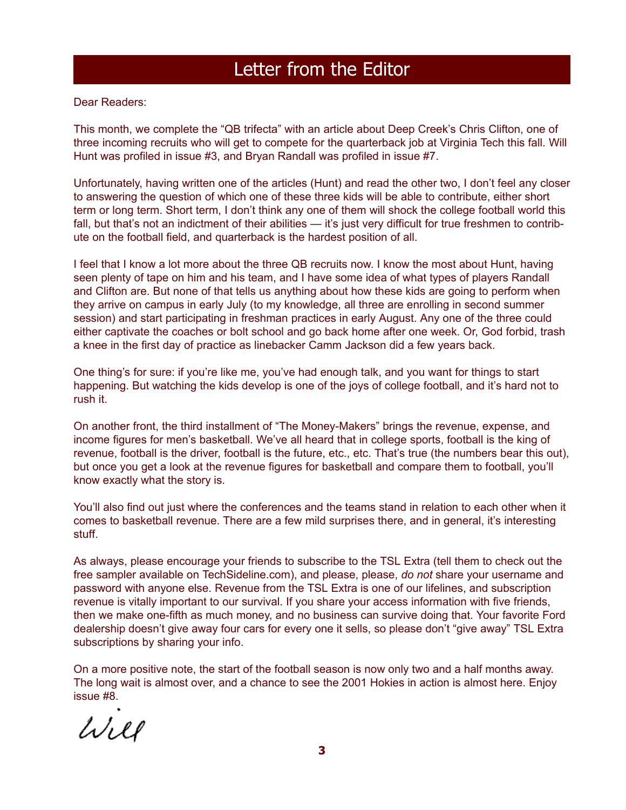## Letter from the Editor

Dear Readers:

This month, we complete the "QB trifecta" with an article about Deep Creek's Chris Clifton, one of three incoming recruits who will get to compete for the quarterback job at Virginia Tech this fall. Will Hunt was profiled in issue #3, and Bryan Randall was profiled in issue #7.

Unfortunately, having written one of the articles (Hunt) and read the other two, I don't feel any closer to answering the question of which one of these three kids will be able to contribute, either short term or long term. Short term, I don't think any one of them will shock the college football world this fall, but that's not an indictment of their abilities — it's just very difficult for true freshmen to contribute on the football field, and quarterback is the hardest position of all.

I feel that I know a lot more about the three QB recruits now. I know the most about Hunt, having seen plenty of tape on him and his team, and I have some idea of what types of players Randall and Clifton are. But none of that tells us anything about how these kids are going to perform when they arrive on campus in early July (to my knowledge, all three are enrolling in second summer session) and start participating in freshman practices in early August. Any one of the three could either captivate the coaches or bolt school and go back home after one week. Or, God forbid, trash a knee in the first day of practice as linebacker Camm Jackson did a few years back.

One thing's for sure: if you're like me, you've had enough talk, and you want for things to start happening. But watching the kids develop is one of the joys of college football, and it's hard not to rush it.

On another front, the third installment of "The Money-Makers" brings the revenue, expense, and income figures for men's basketball. We've all heard that in college sports, football is the king of revenue, football is the driver, football is the future, etc., etc. That's true (the numbers bear this out), but once you get a look at the revenue figures for basketball and compare them to football, you'll know exactly what the story is.

You'll also find out just where the conferences and the teams stand in relation to each other when it comes to basketball revenue. There are a few mild surprises there, and in general, it's interesting stuff.

As always, please encourage your friends to subscribe to the TSL Extra (tell them to check out the free sampler available on TechSideline.com), and please, please, *do not* share your username and password with anyone else. Revenue from the TSL Extra is one of our lifelines, and subscription revenue is vitally important to our survival. If you share your access information with five friends, then we make one-fifth as much money, and no business can survive doing that. Your favorite Ford dealership doesn't give away four cars for every one it sells, so please don't "give away" TSL Extra subscriptions by sharing your info.

On a more positive note, the start of the football season is now only two and a half months away. The long wait is almost over, and a chance to see the 2001 Hokies in action is almost here. Enjoy issue #8.

Will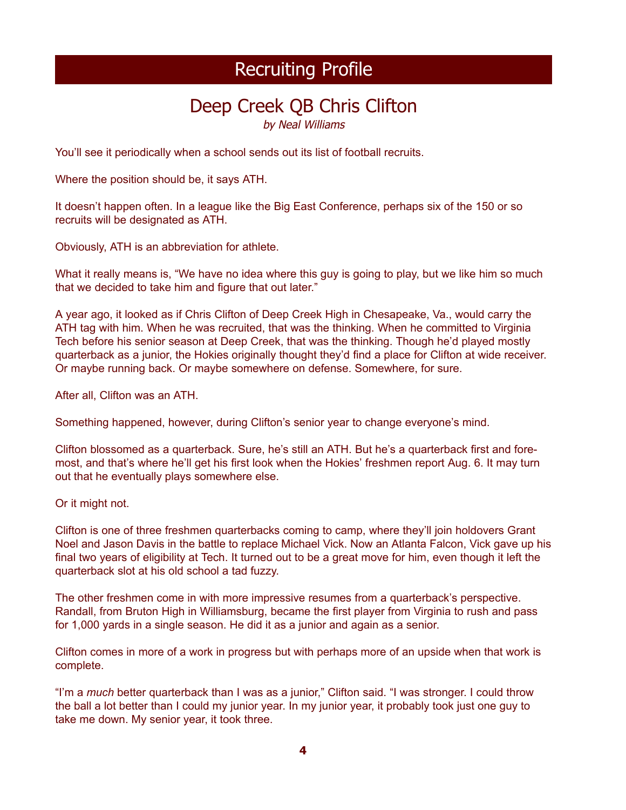## Deep Creek QB Chris Clifton

by Neal Williams

You'll see it periodically when a school sends out its list of football recruits.

Where the position should be, it says ATH.

It doesn't happen often. In a league like the Big East Conference, perhaps six of the 150 or so recruits will be designated as ATH.

Obviously, ATH is an abbreviation for athlete.

What it really means is, "We have no idea where this guy is going to play, but we like him so much that we decided to take him and figure that out later."

A year ago, it looked as if Chris Clifton of Deep Creek High in Chesapeake, Va., would carry the ATH tag with him. When he was recruited, that was the thinking. When he committed to Virginia Tech before his senior season at Deep Creek, that was the thinking. Though he'd played mostly quarterback as a junior, the Hokies originally thought they'd find a place for Clifton at wide receiver. Or maybe running back. Or maybe somewhere on defense. Somewhere, for sure.

After all, Clifton was an ATH.

Something happened, however, during Clifton's senior year to change everyone's mind.

Clifton blossomed as a quarterback. Sure, he's still an ATH. But he's a quarterback first and foremost, and that's where he'll get his first look when the Hokies' freshmen report Aug. 6. It may turn out that he eventually plays somewhere else.

Or it might not.

Clifton is one of three freshmen quarterbacks coming to camp, where they'll join holdovers Grant Noel and Jason Davis in the battle to replace Michael Vick. Now an Atlanta Falcon, Vick gave up his final two years of eligibility at Tech. It turned out to be a great move for him, even though it left the quarterback slot at his old school a tad fuzzy.

The other freshmen come in with more impressive resumes from a quarterback's perspective. Randall, from Bruton High in Williamsburg, became the first player from Virginia to rush and pass for 1,000 yards in a single season. He did it as a junior and again as a senior.

Clifton comes in more of a work in progress but with perhaps more of an upside when that work is complete.

"I'm a *much* better quarterback than I was as a junior," Clifton said. "I was stronger. I could throw the ball a lot better than I could my junior year. In my junior year, it probably took just one guy to take me down. My senior year, it took three.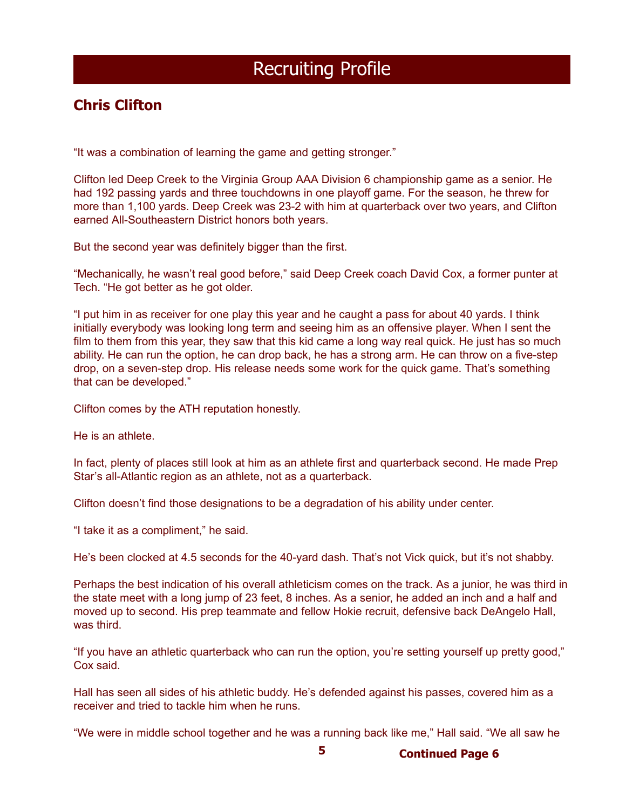### **Chris Clifton**

"It was a combination of learning the game and getting stronger."

Clifton led Deep Creek to the Virginia Group AAA Division 6 championship game as a senior. He had 192 passing yards and three touchdowns in one playoff game. For the season, he threw for more than 1,100 yards. Deep Creek was 23-2 with him at quarterback over two years, and Clifton earned All-Southeastern District honors both years.

But the second year was definitely bigger than the first.

"Mechanically, he wasn't real good before," said Deep Creek coach David Cox, a former punter at Tech. "He got better as he got older.

"I put him in as receiver for one play this year and he caught a pass for about 40 yards. I think initially everybody was looking long term and seeing him as an offensive player. When I sent the film to them from this year, they saw that this kid came a long way real quick. He just has so much ability. He can run the option, he can drop back, he has a strong arm. He can throw on a five-step drop, on a seven-step drop. His release needs some work for the quick game. That's something that can be developed."

Clifton comes by the ATH reputation honestly.

He is an athlete.

In fact, plenty of places still look at him as an athlete first and quarterback second. He made Prep Star's all-Atlantic region as an athlete, not as a quarterback.

Clifton doesn't find those designations to be a degradation of his ability under center.

"I take it as a compliment," he said.

He's been clocked at 4.5 seconds for the 40-yard dash. That's not Vick quick, but it's not shabby.

Perhaps the best indication of his overall athleticism comes on the track. As a junior, he was third in the state meet with a long jump of 23 feet, 8 inches. As a senior, he added an inch and a half and moved up to second. His prep teammate and fellow Hokie recruit, defensive back DeAngelo Hall, was third.

"If you have an athletic quarterback who can run the option, you're setting yourself up pretty good," Cox said.

Hall has seen all sides of his athletic buddy. He's defended against his passes, covered him as a receiver and tried to tackle him when he runs.

"We were in middle school together and he was a running back like me," Hall said. "We all saw he

**5 Continued Page 6**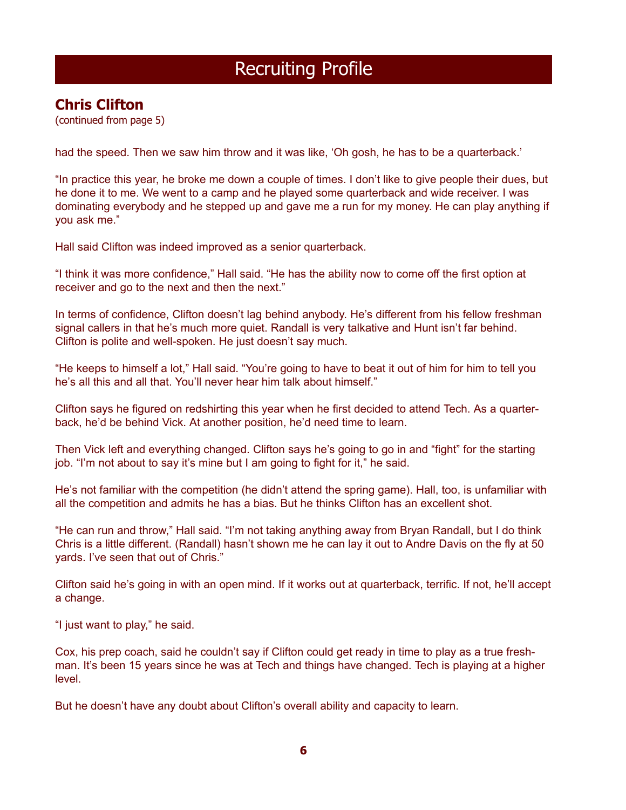### **Chris Clifton**

(continued from page 5)

had the speed. Then we saw him throw and it was like, 'Oh gosh, he has to be a quarterback.'

"In practice this year, he broke me down a couple of times. I don't like to give people their dues, but he done it to me. We went to a camp and he played some quarterback and wide receiver. I was dominating everybody and he stepped up and gave me a run for my money. He can play anything if you ask me."

Hall said Clifton was indeed improved as a senior quarterback.

"I think it was more confidence," Hall said. "He has the ability now to come off the first option at receiver and go to the next and then the next."

In terms of confidence, Clifton doesn't lag behind anybody. He's different from his fellow freshman signal callers in that he's much more quiet. Randall is very talkative and Hunt isn't far behind. Clifton is polite and well-spoken. He just doesn't say much.

"He keeps to himself a lot," Hall said. "You're going to have to beat it out of him for him to tell you he's all this and all that. You'll never hear him talk about himself."

Clifton says he figured on redshirting this year when he first decided to attend Tech. As a quarterback, he'd be behind Vick. At another position, he'd need time to learn.

Then Vick left and everything changed. Clifton says he's going to go in and "fight" for the starting job. "I'm not about to say it's mine but I am going to fight for it," he said.

He's not familiar with the competition (he didn't attend the spring game). Hall, too, is unfamiliar with all the competition and admits he has a bias. But he thinks Clifton has an excellent shot.

"He can run and throw," Hall said. "I'm not taking anything away from Bryan Randall, but I do think Chris is a little different. (Randall) hasn't shown me he can lay it out to Andre Davis on the fly at 50 yards. I've seen that out of Chris."

Clifton said he's going in with an open mind. If it works out at quarterback, terrific. If not, he'll accept a change.

"I just want to play," he said.

Cox, his prep coach, said he couldn't say if Clifton could get ready in time to play as a true freshman. It's been 15 years since he was at Tech and things have changed. Tech is playing at a higher level.

But he doesn't have any doubt about Clifton's overall ability and capacity to learn.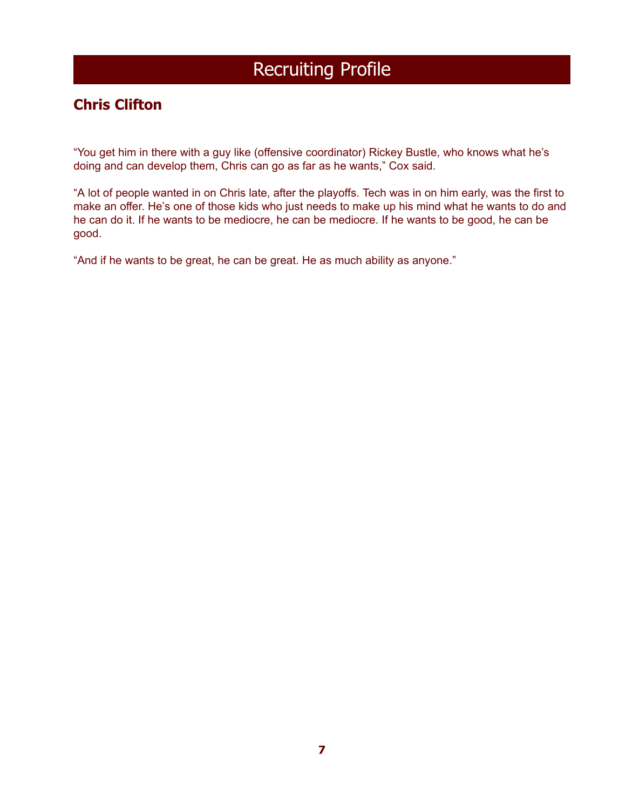### **Chris Clifton**

"You get him in there with a guy like (offensive coordinator) Rickey Bustle, who knows what he's doing and can develop them, Chris can go as far as he wants," Cox said.

"A lot of people wanted in on Chris late, after the playoffs. Tech was in on him early, was the first to make an offer. He's one of those kids who just needs to make up his mind what he wants to do and he can do it. If he wants to be mediocre, he can be mediocre. If he wants to be good, he can be good.

"And if he wants to be great, he can be great. He as much ability as anyone."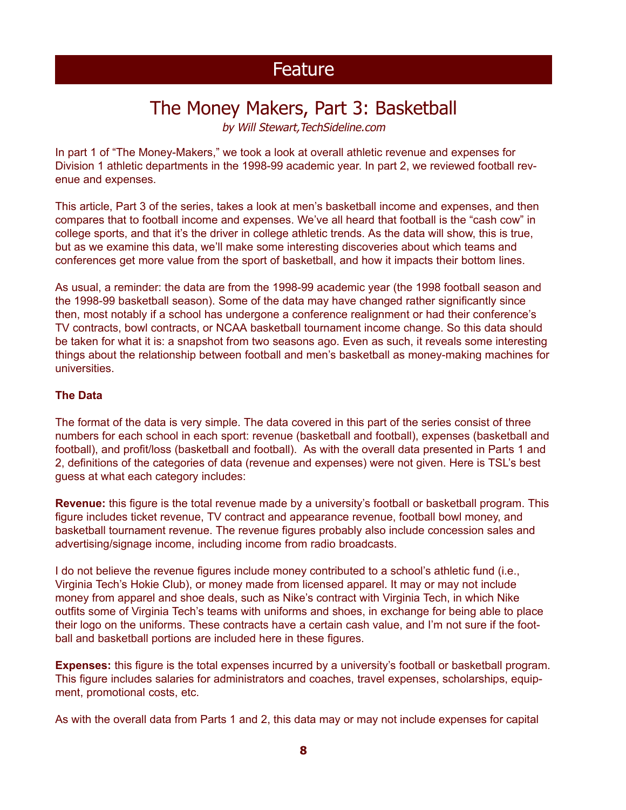# The Money Makers, Part 3: Basketball

by Will Stewart,TechSideline.com

In part 1 of "The Money-Makers," we took a look at overall athletic revenue and expenses for Division 1 athletic departments in the 1998-99 academic year. In part 2, we reviewed football revenue and expenses.

This article, Part 3 of the series, takes a look at men's basketball income and expenses, and then compares that to football income and expenses. We've all heard that football is the "cash cow" in college sports, and that it's the driver in college athletic trends. As the data will show, this is true, but as we examine this data, we'll make some interesting discoveries about which teams and conferences get more value from the sport of basketball, and how it impacts their bottom lines.

As usual, a reminder: the data are from the 1998-99 academic year (the 1998 football season and the 1998-99 basketball season). Some of the data may have changed rather significantly since then, most notably if a school has undergone a conference realignment or had their conference's TV contracts, bowl contracts, or NCAA basketball tournament income change. So this data should be taken for what it is: a snapshot from two seasons ago. Even as such, it reveals some interesting things about the relationship between football and men's basketball as money-making machines for universities.

#### **The Data**

The format of the data is very simple. The data covered in this part of the series consist of three numbers for each school in each sport: revenue (basketball and football), expenses (basketball and football), and profit/loss (basketball and football). As with the overall data presented in Parts 1 and 2, definitions of the categories of data (revenue and expenses) were not given. Here is TSL's best guess at what each category includes:

**Revenue:** this figure is the total revenue made by a university's football or basketball program. This figure includes ticket revenue, TV contract and appearance revenue, football bowl money, and basketball tournament revenue. The revenue figures probably also include concession sales and advertising/signage income, including income from radio broadcasts.

I do not believe the revenue figures include money contributed to a school's athletic fund (i.e., Virginia Tech's Hokie Club), or money made from licensed apparel. It may or may not include money from apparel and shoe deals, such as Nike's contract with Virginia Tech, in which Nike outfits some of Virginia Tech's teams with uniforms and shoes, in exchange for being able to place their logo on the uniforms. These contracts have a certain cash value, and I'm not sure if the football and basketball portions are included here in these figures.

**Expenses:** this figure is the total expenses incurred by a university's football or basketball program. This figure includes salaries for administrators and coaches, travel expenses, scholarships, equipment, promotional costs, etc.

As with the overall data from Parts 1 and 2, this data may or may not include expenses for capital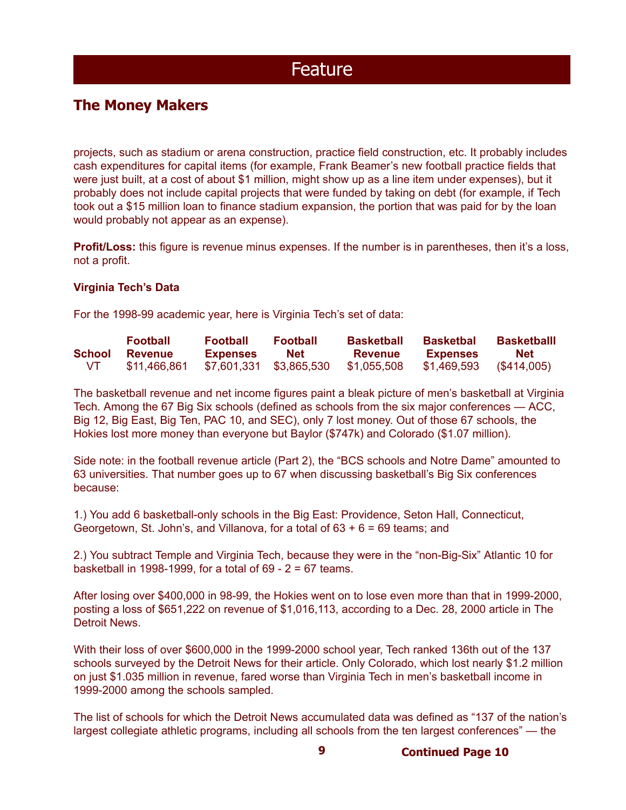### **The Money Makers**

projects, such as stadium or arena construction, practice field construction, etc. It probably includes cash expenditures for capital items (for example, Frank Beamer's new football practice fields that were just built, at a cost of about \$1 million, might show up as a line item under expenses), but it probably does not include capital projects that were funded by taking on debt (for example, if Tech took out a \$15 million loan to finance stadium expansion, the portion that was paid for by the loan would probably not appear as an expense).

**Profit/Loss:** this figure is revenue minus expenses. If the number is in parentheses, then it's a loss, not a profit.

#### **Virginia Tech's Data**

For the 1998-99 academic year, here is Virginia Tech's set of data:

|        | <b>Football</b> | <b>Football</b> | <b>Football</b>         | <b>Basketball</b> | <b>Basketbal</b> | <b>Basketballl</b> |
|--------|-----------------|-----------------|-------------------------|-------------------|------------------|--------------------|
| School | <b>Revenue</b>  | <b>Expenses</b> | <b>Net</b>              | <b>Revenue</b>    | <b>Expenses</b>  | <b>Net</b>         |
| VT.    | \$11,466,861    |                 | \$7,601,331 \$3,865,530 | \$1,055,508       | \$1,469,593      | $($ \$414,005)     |

The basketball revenue and net income figures paint a bleak picture of men's basketball at Virginia Tech. Among the 67 Big Six schools (defined as schools from the six major conferences — ACC, Big 12, Big East, Big Ten, PAC 10, and SEC), only 7 lost money. Out of those 67 schools, the Hokies lost more money than everyone but Baylor (\$747k) and Colorado (\$1.07 million).

Side note: in the football revenue article (Part 2), the "BCS schools and Notre Dame" amounted to 63 universities. That number goes up to 67 when discussing basketball's Big Six conferences because:

1.) You add 6 basketball-only schools in the Big East: Providence, Seton Hall, Connecticut, Georgetown, St. John's, and Villanova, for a total of 63 + 6 = 69 teams; and

2.) You subtract Temple and Virginia Tech, because they were in the "non-Big-Six" Atlantic 10 for basketball in 1998-1999, for a total of 69 - 2 = 67 teams.

After losing over \$400,000 in 98-99, the Hokies went on to lose even more than that in 1999-2000, posting a loss of \$651,222 on revenue of \$1,016,113, according to a Dec. 28, 2000 article in The Detroit News.

With their loss of over \$600,000 in the 1999-2000 school year, Tech ranked 136th out of the 137 schools surveyed by the Detroit News for their article. Only Colorado, which lost nearly \$1.2 million on just \$1.035 million in revenue, fared worse than Virginia Tech in men's basketball income in 1999-2000 among the schools sampled.

The list of schools for which the Detroit News accumulated data was defined as "137 of the nation's largest collegiate athletic programs, including all schools from the ten largest conferences" — the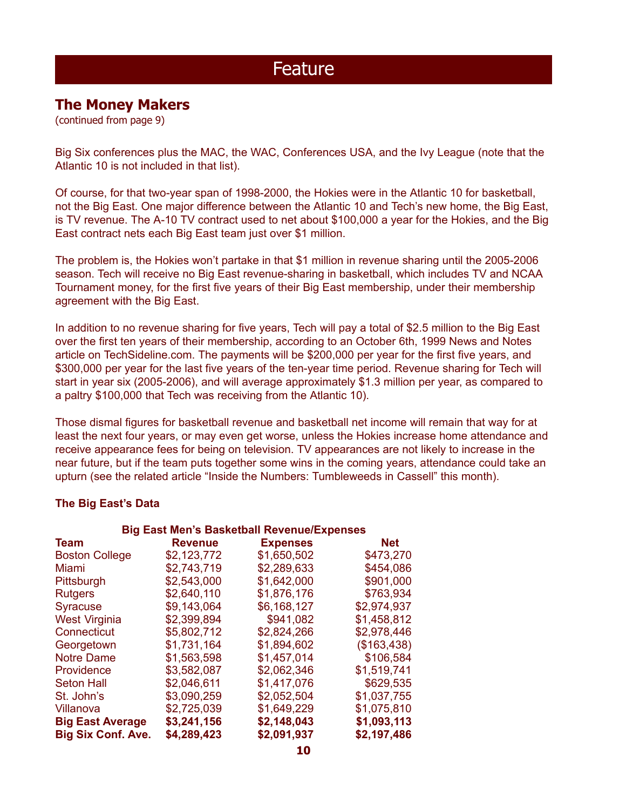### **The Money Makers**

(continued from page 9)

Big Six conferences plus the MAC, the WAC, Conferences USA, and the Ivy League (note that the Atlantic 10 is not included in that list).

Of course, for that two-year span of 1998-2000, the Hokies were in the Atlantic 10 for basketball, not the Big East. One major difference between the Atlantic 10 and Tech's new home, the Big East, is TV revenue. The A-10 TV contract used to net about \$100,000 a year for the Hokies, and the Big East contract nets each Big East team just over \$1 million.

The problem is, the Hokies won't partake in that \$1 million in revenue sharing until the 2005-2006 season. Tech will receive no Big East revenue-sharing in basketball, which includes TV and NCAA Tournament money, for the first five years of their Big East membership, under their membership agreement with the Big East.

In addition to no revenue sharing for five years, Tech will pay a total of \$2.5 million to the Big East over the first ten years of their membership, according to an October 6th, 1999 News and Notes article on TechSideline.com. The payments will be \$200,000 per year for the first five years, and \$300,000 per year for the last five years of the ten-year time period. Revenue sharing for Tech will start in year six (2005-2006), and will average approximately \$1.3 million per year, as compared to a paltry \$100,000 that Tech was receiving from the Atlantic 10).

Those dismal figures for basketball revenue and basketball net income will remain that way for at least the next four years, or may even get worse, unless the Hokies increase home attendance and receive appearance fees for being on television. TV appearances are not likely to increase in the near future, but if the team puts together some wins in the coming years, attendance could take an upturn (see the related article "Inside the Numbers: Tumbleweeds in Cassell" this month).

#### **The Big East's Data**

| <b>Big East Men's Basketball Revenue/Expenses</b> |                |                 |             |  |  |  |  |
|---------------------------------------------------|----------------|-----------------|-------------|--|--|--|--|
| <b>Team</b>                                       | <b>Revenue</b> | <b>Expenses</b> | <b>Net</b>  |  |  |  |  |
| <b>Boston College</b>                             | \$2,123,772    | \$1,650,502     | \$473,270   |  |  |  |  |
| Miami                                             | \$2,743,719    | \$2,289,633     | \$454,086   |  |  |  |  |
| Pittsburgh                                        | \$2,543,000    | \$1,642,000     | \$901,000   |  |  |  |  |
| <b>Rutgers</b>                                    | \$2,640,110    | \$1,876,176     | \$763,934   |  |  |  |  |
| <b>Syracuse</b>                                   | \$9,143,064    | \$6,168,127     | \$2,974,937 |  |  |  |  |
| <b>West Virginia</b>                              | \$2,399,894    | \$941,082       | \$1,458,812 |  |  |  |  |
| Connecticut                                       | \$5,802,712    | \$2,824,266     | \$2,978,446 |  |  |  |  |
| Georgetown                                        | \$1,731,164    | \$1,894,602     | (\$163,438) |  |  |  |  |
| <b>Notre Dame</b>                                 | \$1,563,598    | \$1,457,014     | \$106,584   |  |  |  |  |
| Providence                                        | \$3,582,087    | \$2,062,346     | \$1,519,741 |  |  |  |  |
| <b>Seton Hall</b>                                 | \$2,046,611    | \$1,417,076     | \$629,535   |  |  |  |  |
| St. John's                                        | \$3,090,259    | \$2,052,504     | \$1,037,755 |  |  |  |  |
| Villanova                                         | \$2,725,039    | \$1,649,229     | \$1,075,810 |  |  |  |  |
| <b>Big East Average</b>                           | \$3,241,156    | \$2,148,043     | \$1,093,113 |  |  |  |  |
| <b>Big Six Conf. Ave.</b>                         | \$4,289,423    | \$2,091,937     | \$2,197,486 |  |  |  |  |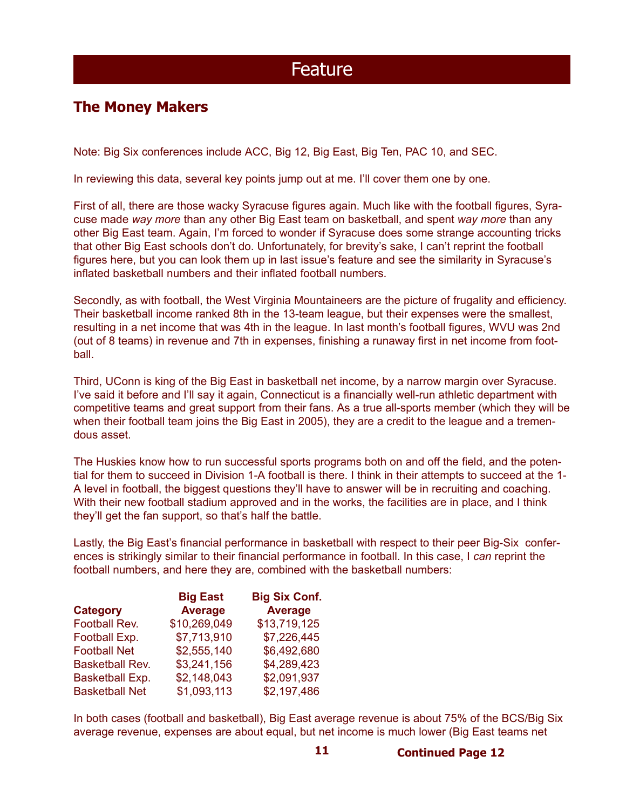### **The Money Makers**

Note: Big Six conferences include ACC, Big 12, Big East, Big Ten, PAC 10, and SEC.

In reviewing this data, several key points jump out at me. I'll cover them one by one.

First of all, there are those wacky Syracuse figures again. Much like with the football figures, Syracuse made *way more* than any other Big East team on basketball, and spent *way more* than any other Big East team. Again, I'm forced to wonder if Syracuse does some strange accounting tricks that other Big East schools don't do. Unfortunately, for brevity's sake, I can't reprint the football figures here, but you can look them up in last issue's feature and see the similarity in Syracuse's inflated basketball numbers and their inflated football numbers.

Secondly, as with football, the West Virginia Mountaineers are the picture of frugality and efficiency. Their basketball income ranked 8th in the 13-team league, but their expenses were the smallest, resulting in a net income that was 4th in the league. In last month's football figures, WVU was 2nd (out of 8 teams) in revenue and 7th in expenses, finishing a runaway first in net income from football.

Third, UConn is king of the Big East in basketball net income, by a narrow margin over Syracuse. I've said it before and I'll say it again, Connecticut is a financially well-run athletic department with competitive teams and great support from their fans. As a true all-sports member (which they will be when their football team joins the Big East in 2005), they are a credit to the league and a tremendous asset.

The Huskies know how to run successful sports programs both on and off the field, and the potential for them to succeed in Division 1-A football is there. I think in their attempts to succeed at the 1- A level in football, the biggest questions they'll have to answer will be in recruiting and coaching. With their new football stadium approved and in the works, the facilities are in place, and I think they'll get the fan support, so that's half the battle.

Lastly, the Big East's financial performance in basketball with respect to their peer Big-Six conferences is strikingly similar to their financial performance in football. In this case, I *can* reprint the football numbers, and here they are, combined with the basketball numbers:

|                        | <b>Big East</b> | <b>Big Six Conf.</b> |
|------------------------|-----------------|----------------------|
| <b>Category</b>        | <b>Average</b>  | <b>Average</b>       |
| Football Rev.          | \$10,269,049    | \$13,719,125         |
| Football Exp.          | \$7,713,910     | \$7,226,445          |
| <b>Football Net</b>    | \$2,555,140     | \$6,492,680          |
| <b>Basketball Rev.</b> | \$3,241,156     | \$4,289,423          |
| <b>Basketball Exp.</b> | \$2,148,043     | \$2,091,937          |
| <b>Basketball Net</b>  | \$1,093,113     | \$2,197,486          |

In both cases (football and basketball), Big East average revenue is about 75% of the BCS/Big Six average revenue, expenses are about equal, but net income is much lower (Big East teams net

**Continued Page 12**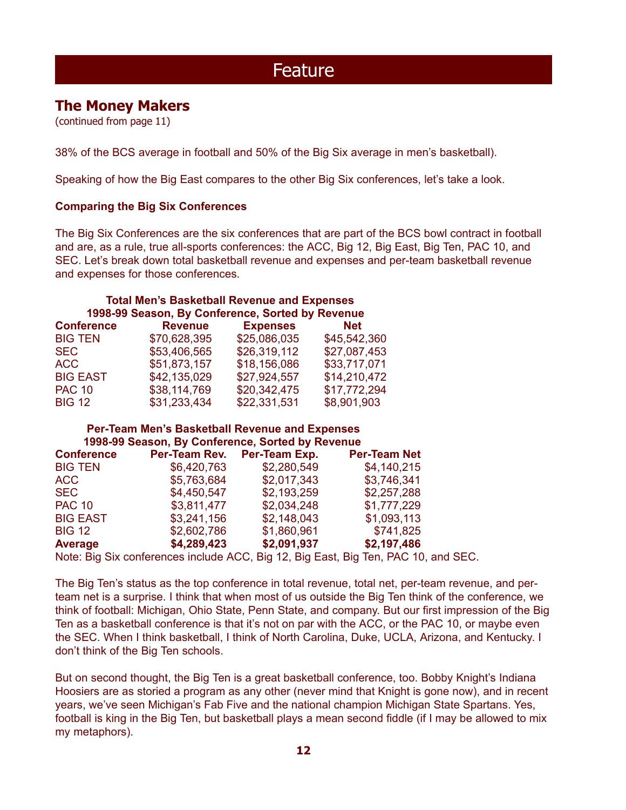### **The Money Makers**

(continued from page 11)

38% of the BCS average in football and 50% of the Big Six average in men's basketball).

Speaking of how the Big East compares to the other Big Six conferences, let's take a look.

#### **Comparing the Big Six Conferences**

The Big Six Conferences are the six conferences that are part of the BCS bowl contract in football and are, as a rule, true all-sports conferences: the ACC, Big 12, Big East, Big Ten, PAC 10, and SEC. Let's break down total basketball revenue and expenses and per-team basketball revenue and expenses for those conferences.

#### **Total Men's Basketball Revenue and Expenses 1998-99 Season, By Conference, Sorted by Revenue**

| <b>Conference</b> | <b>Revenue</b> | <b>Expenses</b> | <b>Net</b>   |
|-------------------|----------------|-----------------|--------------|
| <b>BIG TEN</b>    | \$70,628,395   | \$25,086,035    | \$45,542,360 |
| <b>SEC</b>        | \$53,406,565   | \$26,319,112    | \$27,087,453 |
| ACC               | \$51,873,157   | \$18,156,086    | \$33,717,071 |
| <b>BIG EAST</b>   | \$42,135,029   | \$27,924,557    | \$14,210,472 |
| <b>PAC 10</b>     | \$38,114,769   | \$20,342,475    | \$17,772,294 |
| <b>BIG 12</b>     | \$31,233,434   | \$22,331,531    | \$8,901,903  |

#### **Per-Team Men's Basketball Revenue and Expenses 1998-99 Season, By Conference, Sorted by Revenue**

| <b>Conference</b> | Per-Team Rev. | Per-Team Exp. | <b>Per-Team Net</b>                                                             |  |
|-------------------|---------------|---------------|---------------------------------------------------------------------------------|--|
| <b>BIG TEN</b>    | \$6,420,763   | \$2,280,549   | \$4,140,215                                                                     |  |
| ACC               | \$5,763,684   | \$2,017,343   | \$3,746,341                                                                     |  |
| <b>SEC</b>        | \$4,450,547   | \$2,193,259   | \$2,257,288                                                                     |  |
| <b>PAC 10</b>     | \$3,811,477   | \$2,034,248   | \$1,777,229                                                                     |  |
| <b>BIG EAST</b>   | \$3,241,156   | \$2,148,043   | \$1,093,113                                                                     |  |
| <b>BIG 12</b>     | \$2,602,786   | \$1,860,961   | \$741,825                                                                       |  |
| Average           | \$4,289,423   | \$2,091,937   | \$2,197,486                                                                     |  |
|                   |               |               | Note: Dig Civiconferences include ACC, Dig 19, Dig East, Dig Ten, DAC 10, and 0 |  |

Note: Big Six conferences include ACC, Big 12, Big East, Big Ten, PAC 10, and SEC.

The Big Ten's status as the top conference in total revenue, total net, per-team revenue, and perteam net is a surprise. I think that when most of us outside the Big Ten think of the conference, we think of football: Michigan, Ohio State, Penn State, and company. But our first impression of the Big Ten as a basketball conference is that it's not on par with the ACC, or the PAC 10, or maybe even the SEC. When I think basketball, I think of North Carolina, Duke, UCLA, Arizona, and Kentucky. I don't think of the Big Ten schools.

But on second thought, the Big Ten is a great basketball conference, too. Bobby Knight's Indiana Hoosiers are as storied a program as any other (never mind that Knight is gone now), and in recent years, we've seen Michigan's Fab Five and the national champion Michigan State Spartans. Yes, football is king in the Big Ten, but basketball plays a mean second fiddle (if I may be allowed to mix my metaphors).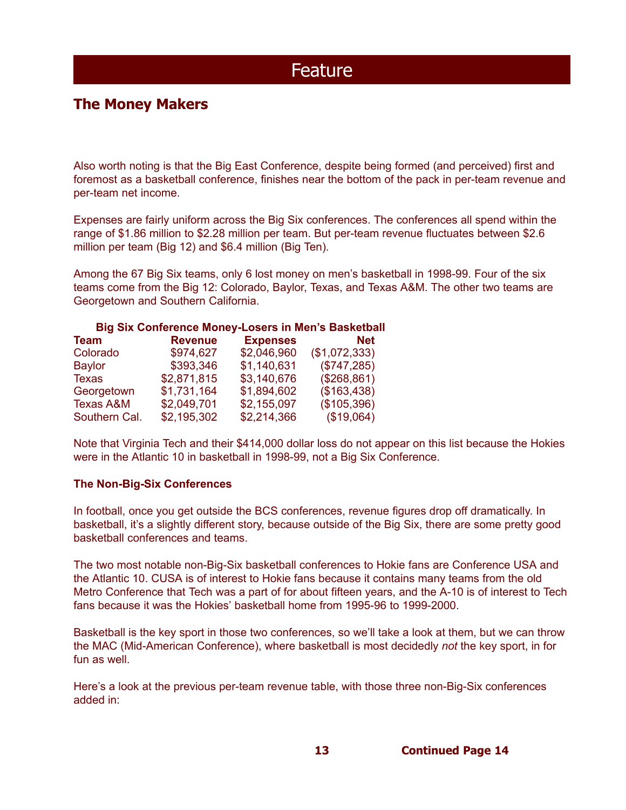### **The Money Makers**

Also worth noting is that the Big East Conference, despite being formed (and perceived) first and foremost as a basketball conference, finishes near the bottom of the pack in per-team revenue and per-team net income.

Expenses are fairly uniform across the Big Six conferences. The conferences all spend within the range of \$1.86 million to \$2.28 million per team. But per-team revenue fluctuates between \$2.6 million per team (Big 12) and \$6.4 million (Big Ten).

Among the 67 Big Six teams, only 6 lost money on men's basketball in 1998-99. Four of the six teams come from the Big 12: Colorado, Baylor, Texas, and Texas A&M. The other two teams are Georgetown and Southern California.

#### **Big Six Conference Money-Losers in Men's Basketball**

| <b>Team</b>          | <b>Revenue</b> | <b>Expenses</b> | <b>Net</b>    |
|----------------------|----------------|-----------------|---------------|
| Colorado             | \$974,627      | \$2,046,960     | (\$1,072,333) |
| <b>Baylor</b>        | \$393,346      | \$1,140,631     | (\$747,285)   |
| Texas                | \$2,871,815    | \$3,140,676     | (\$268,861)   |
| Georgetown           | \$1,731,164    | \$1,894,602     | (\$163,438)   |
| <b>Texas A&amp;M</b> | \$2,049,701    | \$2,155,097     | (\$105,396)   |
| Southern Cal.        | \$2,195,302    | \$2,214,366     | (\$19,064)    |

Note that Virginia Tech and their \$414,000 dollar loss do not appear on this list because the Hokies were in the Atlantic 10 in basketball in 1998-99, not a Big Six Conference.

#### **The Non-Big-Six Conferences**

In football, once you get outside the BCS conferences, revenue figures drop off dramatically. In basketball, it's a slightly different story, because outside of the Big Six, there are some pretty good basketball conferences and teams.

The two most notable non-Big-Six basketball conferences to Hokie fans are Conference USA and the Atlantic 10. CUSA is of interest to Hokie fans because it contains many teams from the old Metro Conference that Tech was a part of for about fifteen years, and the A-10 is of interest to Tech fans because it was the Hokies' basketball home from 1995-96 to 1999-2000.

Basketball is the key sport in those two conferences, so we'll take a look at them, but we can throw the MAC (Mid-American Conference), where basketball is most decidedly *not* the key sport, in for fun as well.

Here's a look at the previous per-team revenue table, with those three non-Big-Six conferences added in:

**13**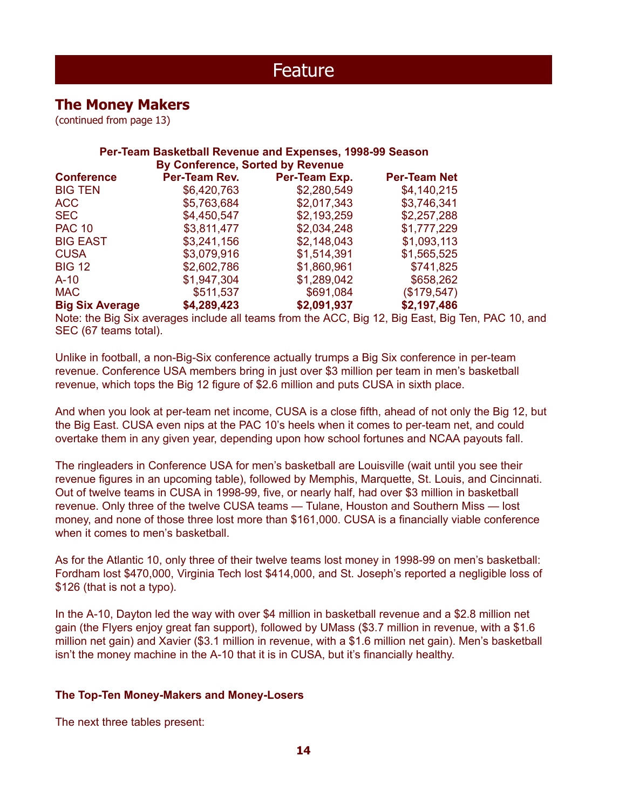### **The Money Makers**

(continued from page 13)

| Per-Team Basketball Revenue and Expenses, 1998-99 Season<br><b>By Conference, Sorted by Revenue</b> |               |               |                     |  |  |  |
|-----------------------------------------------------------------------------------------------------|---------------|---------------|---------------------|--|--|--|
| <b>Conference</b>                                                                                   | Per-Team Rev. | Per-Team Exp. | <b>Per-Team Net</b> |  |  |  |
| <b>BIG TEN</b>                                                                                      | \$6,420,763   | \$2,280,549   | \$4,140,215         |  |  |  |
| ACC                                                                                                 | \$5,763,684   | \$2,017,343   | \$3,746,341         |  |  |  |
| <b>SEC</b>                                                                                          | \$4,450,547   | \$2,193,259   | \$2,257,288         |  |  |  |
| <b>PAC 10</b>                                                                                       | \$3,811,477   | \$2,034,248   | \$1,777,229         |  |  |  |
| <b>BIG EAST</b>                                                                                     | \$3,241,156   | \$2,148,043   | \$1,093,113         |  |  |  |
| <b>CUSA</b>                                                                                         | \$3,079,916   | \$1,514,391   | \$1,565,525         |  |  |  |
| <b>BIG 12</b>                                                                                       | \$2,602,786   | \$1,860,961   | \$741,825           |  |  |  |
| $A-10$                                                                                              | \$1,947,304   | \$1,289,042   | \$658,262           |  |  |  |
| <b>MAC</b>                                                                                          | \$511,537     | \$691,084     | (\$179,547)         |  |  |  |
| <b>Big Six Average</b>                                                                              | \$4,289,423   | \$2,091,937   | \$2,197,486         |  |  |  |
|                                                                                                     |               |               |                     |  |  |  |

Note: the Big Six averages include all teams from the ACC, Big 12, Big East, Big Ten, PAC 10, and SEC (67 teams total).

Unlike in football, a non-Big-Six conference actually trumps a Big Six conference in per-team revenue. Conference USA members bring in just over \$3 million per team in men's basketball revenue, which tops the Big 12 figure of \$2.6 million and puts CUSA in sixth place.

And when you look at per-team net income, CUSA is a close fifth, ahead of not only the Big 12, but the Big East. CUSA even nips at the PAC 10's heels when it comes to per-team net, and could overtake them in any given year, depending upon how school fortunes and NCAA payouts fall.

The ringleaders in Conference USA for men's basketball are Louisville (wait until you see their revenue figures in an upcoming table), followed by Memphis, Marquette, St. Louis, and Cincinnati. Out of twelve teams in CUSA in 1998-99, five, or nearly half, had over \$3 million in basketball revenue. Only three of the twelve CUSA teams — Tulane, Houston and Southern Miss — lost money, and none of those three lost more than \$161,000. CUSA is a financially viable conference when it comes to men's basketball.

As for the Atlantic 10, only three of their twelve teams lost money in 1998-99 on men's basketball: Fordham lost \$470,000, Virginia Tech lost \$414,000, and St. Joseph's reported a negligible loss of \$126 (that is not a typo).

In the A-10, Dayton led the way with over \$4 million in basketball revenue and a \$2.8 million net gain (the Flyers enjoy great fan support), followed by UMass (\$3.7 million in revenue, with a \$1.6 million net gain) and Xavier (\$3.1 million in revenue, with a \$1.6 million net gain). Men's basketball isn't the money machine in the A-10 that it is in CUSA, but it's financially healthy.

#### **The Top-Ten Money-Makers and Money-Losers**

The next three tables present: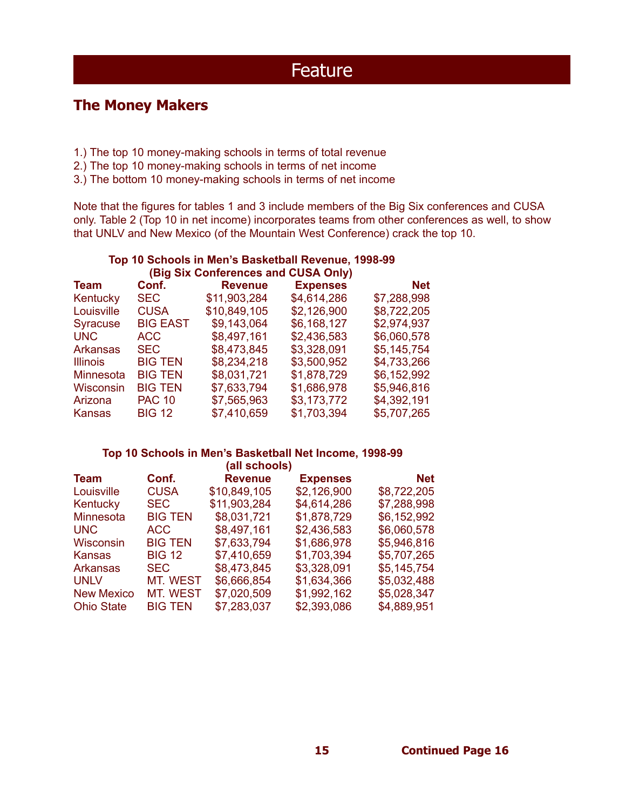### **The Money Makers**

- 1.) The top 10 money-making schools in terms of total revenue
- 2.) The top 10 money-making schools in terms of net income
- 3.) The bottom 10 money-making schools in terms of net income

Note that the figures for tables 1 and 3 include members of the Big Six conferences and CUSA only. Table 2 (Top 10 in net income) incorporates teams from other conferences as well, to show that UNLV and New Mexico (of the Mountain West Conference) crack the top 10.

| Top 10 Schools in Men's Basketball Revenue, 1998-99<br>(Big Six Conferences and CUSA Only) |                 |                |                 |             |  |  |
|--------------------------------------------------------------------------------------------|-----------------|----------------|-----------------|-------------|--|--|
| Team                                                                                       | Conf.           | <b>Revenue</b> | <b>Expenses</b> | <b>Net</b>  |  |  |
| Kentucky                                                                                   | <b>SEC</b>      | \$11,903,284   | \$4,614,286     | \$7,288,998 |  |  |
| Louisville                                                                                 | <b>CUSA</b>     | \$10,849,105   | \$2,126,900     | \$8,722,205 |  |  |
| <b>Syracuse</b>                                                                            | <b>BIG EAST</b> | \$9,143,064    | \$6,168,127     | \$2,974,937 |  |  |
| <b>UNC</b>                                                                                 | ACC             | \$8,497,161    | \$2,436,583     | \$6,060,578 |  |  |
| <b>Arkansas</b>                                                                            | <b>SEC</b>      | \$8,473,845    | \$3,328,091     | \$5,145,754 |  |  |
| <b>Illinois</b>                                                                            | <b>BIG TEN</b>  | \$8,234,218    | \$3,500,952     | \$4,733,266 |  |  |
| Minnesota                                                                                  | <b>BIG TEN</b>  | \$8,031,721    | \$1,878,729     | \$6,152,992 |  |  |
| Wisconsin                                                                                  | <b>BIG TEN</b>  | \$7,633,794    | \$1,686,978     | \$5,946,816 |  |  |
| Arizona                                                                                    | <b>PAC 10</b>   | \$7,565,963    | \$3,173,772     | \$4,392,191 |  |  |
| <b>Kansas</b>                                                                              | <b>BIG 12</b>   | \$7,410,659    | \$1,703,394     | \$5,707,265 |  |  |

#### **Top 10 Schools in Men's Basketball Net Income, 1998-99 (all schools)**

| (all schools)     |                 |                |                 |             |  |
|-------------------|-----------------|----------------|-----------------|-------------|--|
| <b>Team</b>       | Conf.           | <b>Revenue</b> | <b>Expenses</b> | <b>Net</b>  |  |
| Louisville        | <b>CUSA</b>     | \$10,849,105   | \$2,126,900     | \$8,722,205 |  |
| Kentucky          | <b>SEC</b>      | \$11,903,284   | \$4,614,286     | \$7,288,998 |  |
| Minnesota         | <b>BIG TEN</b>  | \$8,031,721    | \$1,878,729     | \$6,152,992 |  |
| <b>UNC</b>        | <b>ACC</b>      | \$8,497,161    | \$2,436,583     | \$6,060,578 |  |
| Wisconsin         | <b>BIG TEN</b>  | \$7,633,794    | \$1,686,978     | \$5,946,816 |  |
| <b>Kansas</b>     | <b>BIG 12</b>   | \$7,410,659    | \$1,703,394     | \$5,707,265 |  |
| <b>Arkansas</b>   | <b>SEC</b>      | \$8,473,845    | \$3,328,091     | \$5,145,754 |  |
| <b>UNLV</b>       | <b>MT. WEST</b> | \$6,666,854    | \$1,634,366     | \$5,032,488 |  |
| <b>New Mexico</b> | <b>MT. WEST</b> | \$7,020,509    | \$1,992,162     | \$5,028,347 |  |
| <b>Ohio State</b> | <b>BIG TEN</b>  | \$7,283,037    | \$2,393,086     | \$4,889,951 |  |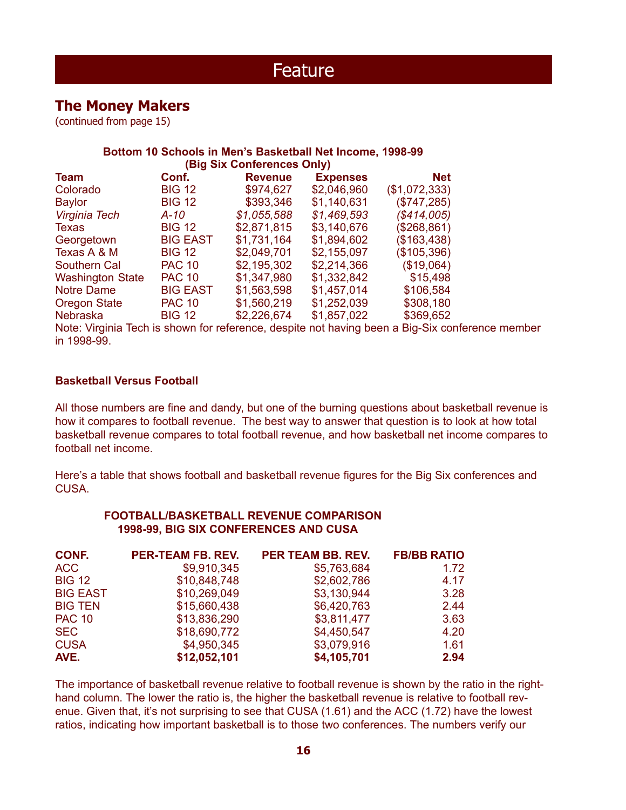### **The Money Makers**

(continued from page 15)

#### **Bottom 10 Schools in Men's Basketball Net Income, 1998-99 (Big Six Conferences Only)**

|                         |                 | $1 - 15$ $\sigma$ $100$ $\sigma$ $100$ $\sigma$ $100$ $\sigma$ $100$ $\sigma$ |                 |               |
|-------------------------|-----------------|-------------------------------------------------------------------------------|-----------------|---------------|
| <b>Team</b>             | Conf.           | <b>Revenue</b>                                                                | <b>Expenses</b> | <b>Net</b>    |
| Colorado                | <b>BIG 12</b>   | \$974,627                                                                     | \$2,046,960     | (\$1,072,333) |
| <b>Baylor</b>           | <b>BIG 12</b>   | \$393,346                                                                     | \$1,140,631     | (\$747,285)   |
| Virginia Tech           | A-10            | \$1,055,588                                                                   | \$1,469,593     | (S414,005)    |
| <b>Texas</b>            | <b>BIG 12</b>   | \$2,871,815                                                                   | \$3,140,676     | (\$268,861)   |
| Georgetown              | <b>BIG EAST</b> | \$1,731,164                                                                   | \$1,894,602     | (\$163,438)   |
| Texas A & M             | <b>BIG 12</b>   | \$2,049,701                                                                   | \$2,155,097     | (\$105,396)   |
| Southern Cal            | <b>PAC 10</b>   | \$2,195,302                                                                   | \$2,214,366     | (\$19,064)    |
| <b>Washington State</b> | <b>PAC 10</b>   | \$1,347,980                                                                   | \$1,332,842     | \$15,498      |
| <b>Notre Dame</b>       | <b>BIG EAST</b> | \$1,563,598                                                                   | \$1,457,014     | \$106,584     |
| <b>Oregon State</b>     | <b>PAC 10</b>   | \$1,560,219                                                                   | \$1,252,039     | \$308,180     |
| <b>Nebraska</b>         | <b>BIG 12</b>   | \$2,226,674                                                                   | \$1,857,022     | \$369,652     |
|                         |                 |                                                                               |                 |               |

Note: Virginia Tech is shown for reference, despite not having been a Big-Six conference member in 1998-99.

#### **Basketball Versus Football**

All those numbers are fine and dandy, but one of the burning questions about basketball revenue is how it compares to football revenue. The best way to answer that question is to look at how total basketball revenue compares to total football revenue, and how basketball net income compares to football net income.

Here's a table that shows football and basketball revenue figures for the Big Six conferences and CUSA.

#### **FOOTBALL/BASKETBALL REVENUE COMPARISON 1998-99, BIG SIX CONFERENCES AND CUSA**

| CONF.           | <b>PER-TEAM FB. REV.</b> | <b>PER TEAM BB. REV.</b> | <b>FB/BB RATIO</b> |
|-----------------|--------------------------|--------------------------|--------------------|
| ACC             | \$9,910,345              | \$5,763,684              | 1.72               |
| <b>BIG 12</b>   | \$10,848,748             | \$2,602,786              | 4.17               |
| <b>BIG EAST</b> | \$10,269,049             | \$3,130,944              | 3.28               |
| <b>BIG TEN</b>  | \$15,660,438             | \$6,420,763              | 2.44               |
| <b>PAC 10</b>   | \$13,836,290             | \$3,811,477              | 3.63               |
| <b>SEC</b>      | \$18,690,772             | \$4,450,547              | 4.20               |
| <b>CUSA</b>     | \$4,950,345              | \$3,079,916              | 1.61               |
| AVE.            | \$12,052,101             | \$4,105,701              | 2.94               |

The importance of basketball revenue relative to football revenue is shown by the ratio in the righthand column. The lower the ratio is, the higher the basketball revenue is relative to football revenue. Given that, it's not surprising to see that CUSA (1.61) and the ACC (1.72) have the lowest ratios, indicating how important basketball is to those two conferences. The numbers verify our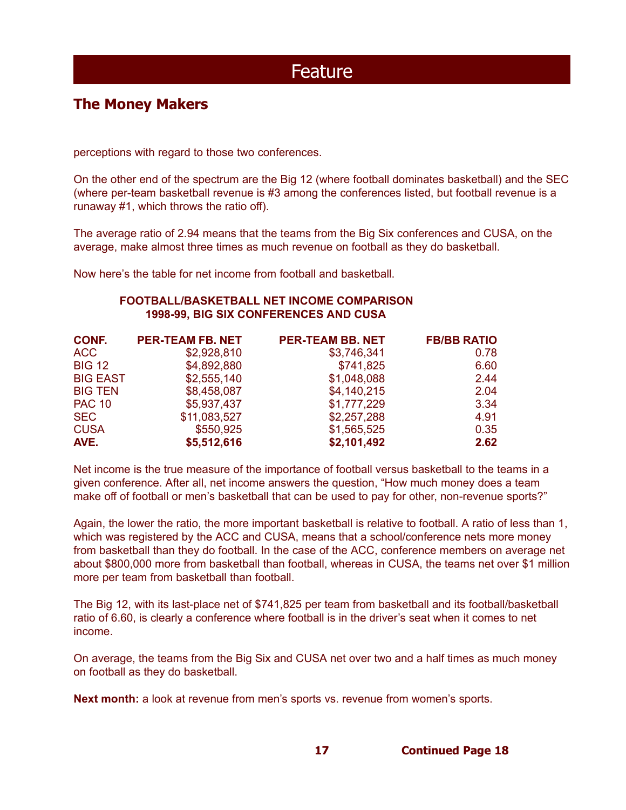### **The Money Makers**

perceptions with regard to those two conferences.

On the other end of the spectrum are the Big 12 (where football dominates basketball) and the SEC (where per-team basketball revenue is #3 among the conferences listed, but football revenue is a runaway #1, which throws the ratio off).

The average ratio of 2.94 means that the teams from the Big Six conferences and CUSA, on the average, make almost three times as much revenue on football as they do basketball.

Now here's the table for net income from football and basketball.

#### **FOOTBALL/BASKETBALL NET INCOME COMPARISON 1998-99, BIG SIX CONFERENCES AND CUSA**

| CONF.           | <b>PER-TEAM FB. NET</b> | <b>PER-TEAM BB. NET</b> | <b>FB/BB RATIO</b> |
|-----------------|-------------------------|-------------------------|--------------------|
| ACC             | \$2,928,810             | \$3,746,341             | 0.78               |
| <b>BIG 12</b>   | \$4,892,880             | \$741,825               | 6.60               |
| <b>BIG EAST</b> | \$2,555,140             | \$1,048,088             | 2.44               |
| <b>BIG TEN</b>  | \$8,458,087             | \$4,140,215             | 2.04               |
| <b>PAC 10</b>   | \$5,937,437             | \$1,777,229             | 3.34               |
| <b>SEC</b>      | \$11,083,527            | \$2,257,288             | 4.91               |
| <b>CUSA</b>     | \$550,925               | \$1,565,525             | 0.35               |
| AVE.            | \$5,512,616             | \$2,101,492             | 2.62               |

Net income is the true measure of the importance of football versus basketball to the teams in a given conference. After all, net income answers the question, "How much money does a team make off of football or men's basketball that can be used to pay for other, non-revenue sports?"

Again, the lower the ratio, the more important basketball is relative to football. A ratio of less than 1, which was registered by the ACC and CUSA, means that a school/conference nets more money from basketball than they do football. In the case of the ACC, conference members on average net about \$800,000 more from basketball than football, whereas in CUSA, the teams net over \$1 million more per team from basketball than football.

The Big 12, with its last-place net of \$741,825 per team from basketball and its football/basketball ratio of 6.60, is clearly a conference where football is in the driver's seat when it comes to net income.

On average, the teams from the Big Six and CUSA net over two and a half times as much money on football as they do basketball.

**Next month:** a look at revenue from men's sports vs. revenue from women's sports.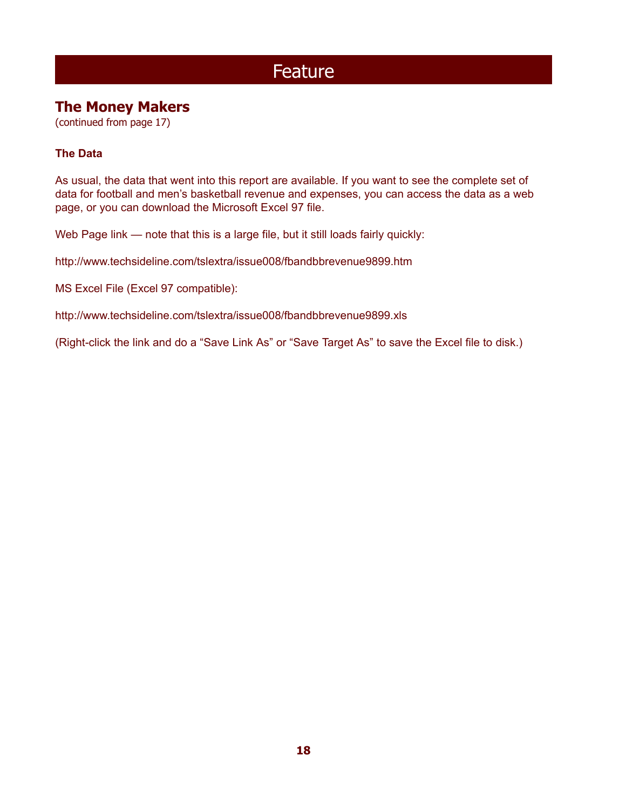### **The Money Makers**

(continued from page 17)

### **The Data**

As usual, the data that went into this report are available. If you want to see the complete set of data for football and men's basketball revenue and expenses, you can access the data as a web page, or you can download the Microsoft Excel 97 file.

Web Page link — note that this is a large file, but it still loads fairly quickly:

http://www.techsideline.com/tslextra/issue008/fbandbbrevenue9899.htm

MS Excel File (Excel 97 compatible):

http://www.techsideline.com/tslextra/issue008/fbandbbrevenue9899.xls

(Right-click the link and do a "Save Link As" or "Save Target As" to save the Excel file to disk.)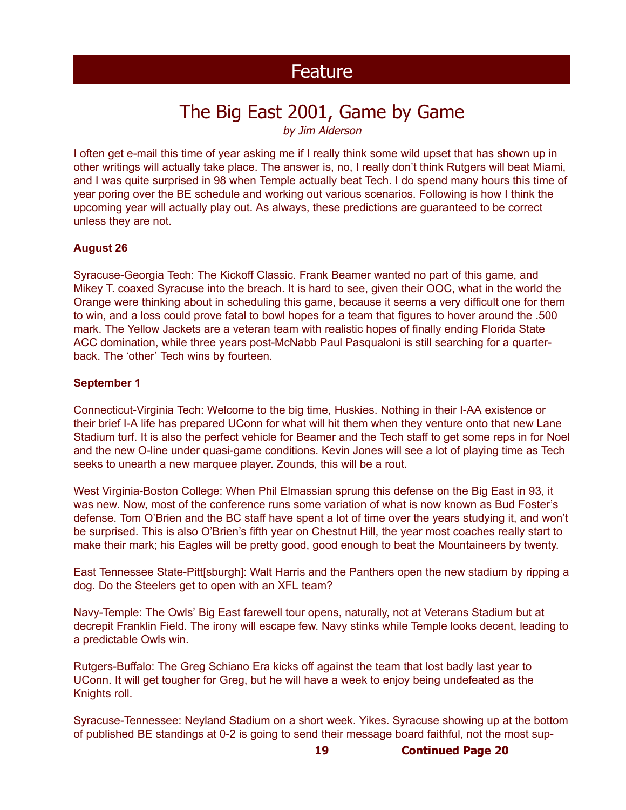# The Big East 2001, Game by Game

by Jim Alderson

I often get e-mail this time of year asking me if I really think some wild upset that has shown up in other writings will actually take place. The answer is, no, I really don't think Rutgers will beat Miami, and I was quite surprised in 98 when Temple actually beat Tech. I do spend many hours this time of year poring over the BE schedule and working out various scenarios. Following is how I think the upcoming year will actually play out. As always, these predictions are guaranteed to be correct unless they are not.

#### **August 26**

Syracuse-Georgia Tech: The Kickoff Classic. Frank Beamer wanted no part of this game, and Mikey T. coaxed Syracuse into the breach. It is hard to see, given their OOC, what in the world the Orange were thinking about in scheduling this game, because it seems a very difficult one for them to win, and a loss could prove fatal to bowl hopes for a team that figures to hover around the .500 mark. The Yellow Jackets are a veteran team with realistic hopes of finally ending Florida State ACC domination, while three years post-McNabb Paul Pasqualoni is still searching for a quarterback. The 'other' Tech wins by fourteen.

#### **September 1**

Connecticut-Virginia Tech: Welcome to the big time, Huskies. Nothing in their I-AA existence or their brief I-A life has prepared UConn for what will hit them when they venture onto that new Lane Stadium turf. It is also the perfect vehicle for Beamer and the Tech staff to get some reps in for Noel and the new O-line under quasi-game conditions. Kevin Jones will see a lot of playing time as Tech seeks to unearth a new marquee player. Zounds, this will be a rout.

West Virginia-Boston College: When Phil Elmassian sprung this defense on the Big East in 93, it was new. Now, most of the conference runs some variation of what is now known as Bud Foster's defense. Tom O'Brien and the BC staff have spent a lot of time over the years studying it, and won't be surprised. This is also O'Brien's fifth year on Chestnut Hill, the year most coaches really start to make their mark; his Eagles will be pretty good, good enough to beat the Mountaineers by twenty.

East Tennessee State-Pitt[sburgh]: Walt Harris and the Panthers open the new stadium by ripping a dog. Do the Steelers get to open with an XFL team?

Navy-Temple: The Owls' Big East farewell tour opens, naturally, not at Veterans Stadium but at decrepit Franklin Field. The irony will escape few. Navy stinks while Temple looks decent, leading to a predictable Owls win.

Rutgers-Buffalo: The Greg Schiano Era kicks off against the team that lost badly last year to UConn. It will get tougher for Greg, but he will have a week to enjoy being undefeated as the Knights roll.

Syracuse-Tennessee: Neyland Stadium on a short week. Yikes. Syracuse showing up at the bottom of published BE standings at 0-2 is going to send their message board faithful, not the most sup-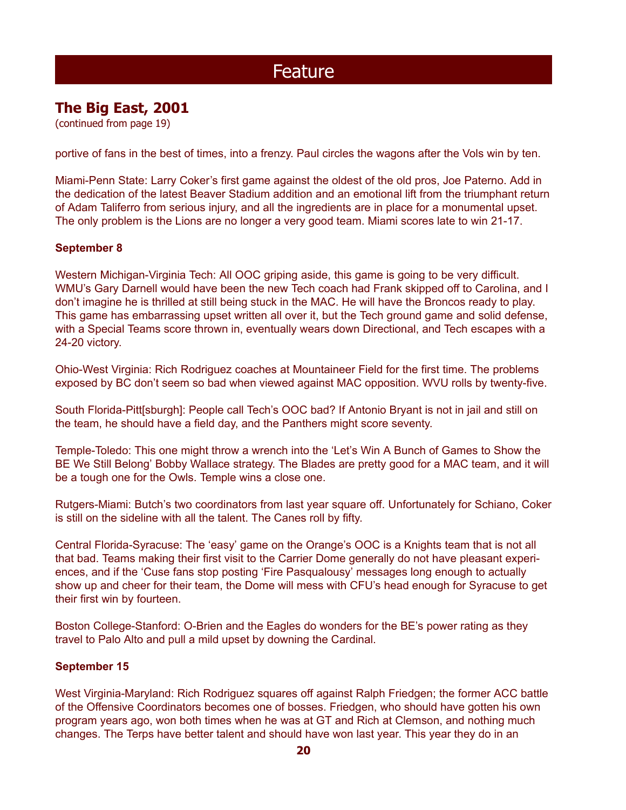### **The Big East, 2001**

(continued from page 19)

portive of fans in the best of times, into a frenzy. Paul circles the wagons after the Vols win by ten.

Miami-Penn State: Larry Coker's first game against the oldest of the old pros, Joe Paterno. Add in the dedication of the latest Beaver Stadium addition and an emotional lift from the triumphant return of Adam Taliferro from serious injury, and all the ingredients are in place for a monumental upset. The only problem is the Lions are no longer a very good team. Miami scores late to win 21-17.

#### **September 8**

Western Michigan-Virginia Tech: All OOC griping aside, this game is going to be very difficult. WMU's Gary Darnell would have been the new Tech coach had Frank skipped off to Carolina, and I don't imagine he is thrilled at still being stuck in the MAC. He will have the Broncos ready to play. This game has embarrassing upset written all over it, but the Tech ground game and solid defense, with a Special Teams score thrown in, eventually wears down Directional, and Tech escapes with a 24-20 victory.

Ohio-West Virginia: Rich Rodriguez coaches at Mountaineer Field for the first time. The problems exposed by BC don't seem so bad when viewed against MAC opposition. WVU rolls by twenty-five.

South Florida-Pitt[sburgh]: People call Tech's OOC bad? If Antonio Bryant is not in jail and still on the team, he should have a field day, and the Panthers might score seventy.

Temple-Toledo: This one might throw a wrench into the 'Let's Win A Bunch of Games to Show the BE We Still Belong' Bobby Wallace strategy. The Blades are pretty good for a MAC team, and it will be a tough one for the Owls. Temple wins a close one.

Rutgers-Miami: Butch's two coordinators from last year square off. Unfortunately for Schiano, Coker is still on the sideline with all the talent. The Canes roll by fifty.

Central Florida-Syracuse: The 'easy' game on the Orange's OOC is a Knights team that is not all that bad. Teams making their first visit to the Carrier Dome generally do not have pleasant experiences, and if the 'Cuse fans stop posting 'Fire Pasqualousy' messages long enough to actually show up and cheer for their team, the Dome will mess with CFU's head enough for Syracuse to get their first win by fourteen.

Boston College-Stanford: O-Brien and the Eagles do wonders for the BE's power rating as they travel to Palo Alto and pull a mild upset by downing the Cardinal.

#### **September 15**

West Virginia-Maryland: Rich Rodriguez squares off against Ralph Friedgen; the former ACC battle of the Offensive Coordinators becomes one of bosses. Friedgen, who should have gotten his own program years ago, won both times when he was at GT and Rich at Clemson, and nothing much changes. The Terps have better talent and should have won last year. This year they do in an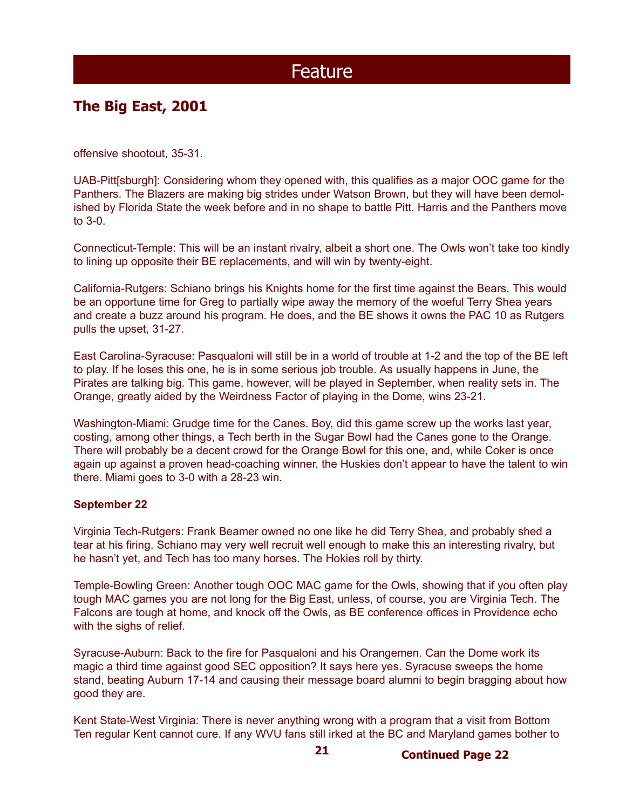### **The Big East, 2001**

offensive shootout, 35-31.

UAB-Pitt[sburgh]: Considering whom they opened with, this qualifies as a major OOC game for the Panthers. The Blazers are making big strides under Watson Brown, but they will have been demolished by Florida State the week before and in no shape to battle Pitt. Harris and the Panthers move to 3-0.

Connecticut-Temple: This will be an instant rivalry, albeit a short one. The Owls won't take too kindly to lining up opposite their BE replacements, and will win by twenty-eight.

California-Rutgers: Schiano brings his Knights home for the first time against the Bears. This would be an opportune time for Greg to partially wipe away the memory of the woeful Terry Shea years and create a buzz around his program. He does, and the BE shows it owns the PAC 10 as Rutgers pulls the upset, 31-27.

East Carolina-Syracuse: Pasqualoni will still be in a world of trouble at 1-2 and the top of the BE left to play. If he loses this one, he is in some serious job trouble. As usually happens in June, the Pirates are talking big. This game, however, will be played in September, when reality sets in. The Orange, greatly aided by the Weirdness Factor of playing in the Dome, wins 23-21.

Washington-Miami: Grudge time for the Canes. Boy, did this game screw up the works last year, costing, among other things, a Tech berth in the Sugar Bowl had the Canes gone to the Orange. There will probably be a decent crowd for the Orange Bowl for this one, and, while Coker is once again up against a proven head-coaching winner, the Huskies don't appear to have the talent to win there. Miami goes to 3-0 with a 28-23 win.

#### **September 22**

Virginia Tech-Rutgers: Frank Beamer owned no one like he did Terry Shea, and probably shed a tear at his firing. Schiano may very well recruit well enough to make this an interesting rivalry, but he hasn't yet, and Tech has too many horses. The Hokies roll by thirty.

Temple-Bowling Green: Another tough OOC MAC game for the Owls, showing that if you often play tough MAC games you are not long for the Big East, unless, of course, you are Virginia Tech. The Falcons are tough at home, and knock off the Owls, as BE conference offices in Providence echo with the sighs of relief.

Syracuse-Auburn: Back to the fire for Pasqualoni and his Orangemen. Can the Dome work its magic a third time against good SEC opposition? It says here yes. Syracuse sweeps the home stand, beating Auburn 17-14 and causing their message board alumni to begin bragging about how good they are.

Kent State-West Virginia: There is never anything wrong with a program that a visit from Bottom Ten regular Kent cannot cure. If any WVU fans still irked at the BC and Maryland games bother to

**21**

**Continued Page 22**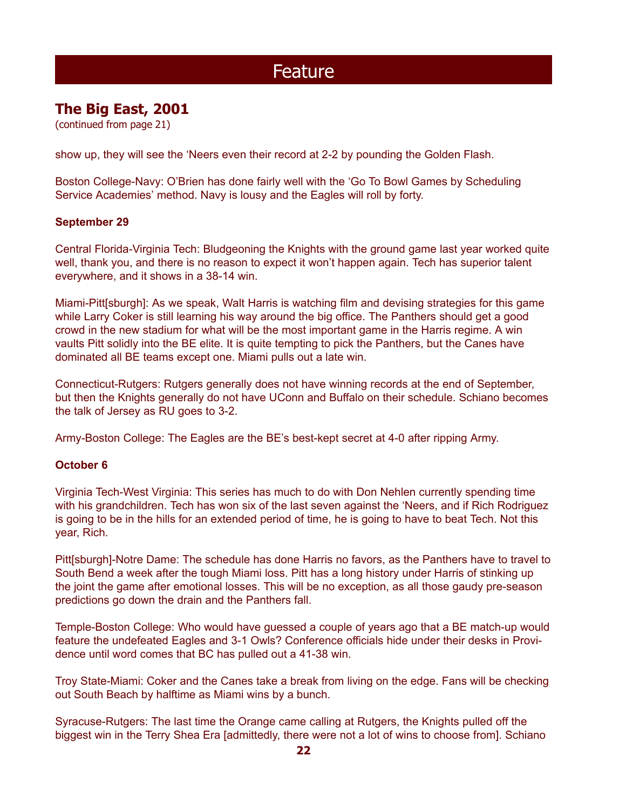### **The Big East, 2001**

(continued from page 21)

show up, they will see the 'Neers even their record at 2-2 by pounding the Golden Flash.

Boston College-Navy: O'Brien has done fairly well with the 'Go To Bowl Games by Scheduling Service Academies' method. Navy is lousy and the Eagles will roll by forty.

#### **September 29**

Central Florida-Virginia Tech: Bludgeoning the Knights with the ground game last year worked quite well, thank you, and there is no reason to expect it won't happen again. Tech has superior talent everywhere, and it shows in a 38-14 win.

Miami-Pitt[sburgh]: As we speak, Walt Harris is watching film and devising strategies for this game while Larry Coker is still learning his way around the big office. The Panthers should get a good crowd in the new stadium for what will be the most important game in the Harris regime. A win vaults Pitt solidly into the BE elite. It is quite tempting to pick the Panthers, but the Canes have dominated all BE teams except one. Miami pulls out a late win.

Connecticut-Rutgers: Rutgers generally does not have winning records at the end of September, but then the Knights generally do not have UConn and Buffalo on their schedule. Schiano becomes the talk of Jersey as RU goes to 3-2.

Army-Boston College: The Eagles are the BE's best-kept secret at 4-0 after ripping Army.

#### **October 6**

Virginia Tech-West Virginia: This series has much to do with Don Nehlen currently spending time with his grandchildren. Tech has won six of the last seven against the 'Neers, and if Rich Rodriguez is going to be in the hills for an extended period of time, he is going to have to beat Tech. Not this year, Rich.

Pitt[sburgh]-Notre Dame: The schedule has done Harris no favors, as the Panthers have to travel to South Bend a week after the tough Miami loss. Pitt has a long history under Harris of stinking up the joint the game after emotional losses. This will be no exception, as all those gaudy pre-season predictions go down the drain and the Panthers fall.

Temple-Boston College: Who would have guessed a couple of years ago that a BE match-up would feature the undefeated Eagles and 3-1 Owls? Conference officials hide under their desks in Providence until word comes that BC has pulled out a 41-38 win.

Troy State-Miami: Coker and the Canes take a break from living on the edge. Fans will be checking out South Beach by halftime as Miami wins by a bunch.

Syracuse-Rutgers: The last time the Orange came calling at Rutgers, the Knights pulled off the biggest win in the Terry Shea Era [admittedly, there were not a lot of wins to choose from]. Schiano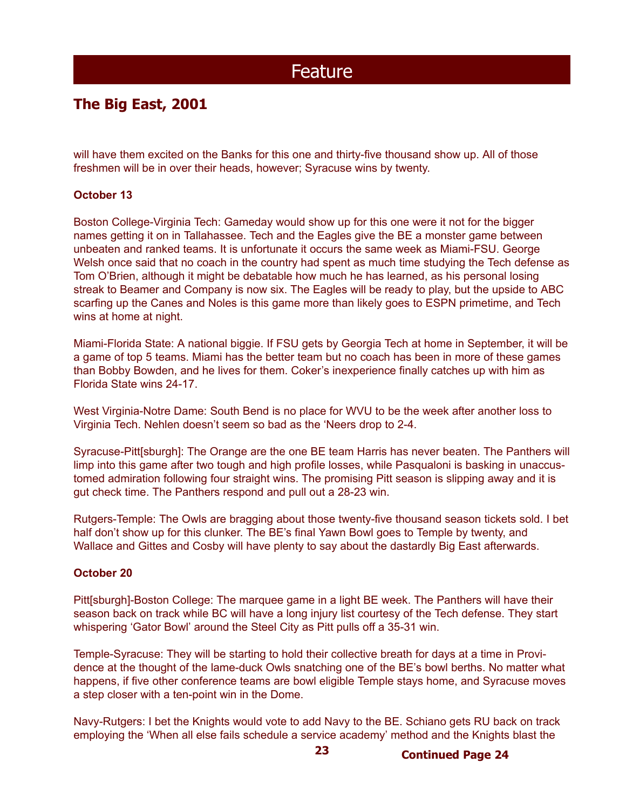### **The Big East, 2001**

will have them excited on the Banks for this one and thirty-five thousand show up. All of those freshmen will be in over their heads, however; Syracuse wins by twenty.

#### **October 13**

Boston College-Virginia Tech: Gameday would show up for this one were it not for the bigger names getting it on in Tallahassee. Tech and the Eagles give the BE a monster game between unbeaten and ranked teams. It is unfortunate it occurs the same week as Miami-FSU. George Welsh once said that no coach in the country had spent as much time studying the Tech defense as Tom O'Brien, although it might be debatable how much he has learned, as his personal losing streak to Beamer and Company is now six. The Eagles will be ready to play, but the upside to ABC scarfing up the Canes and Noles is this game more than likely goes to ESPN primetime, and Tech wins at home at night.

Miami-Florida State: A national biggie. If FSU gets by Georgia Tech at home in September, it will be a game of top 5 teams. Miami has the better team but no coach has been in more of these games than Bobby Bowden, and he lives for them. Coker's inexperience finally catches up with him as Florida State wins 24-17.

West Virginia-Notre Dame: South Bend is no place for WVU to be the week after another loss to Virginia Tech. Nehlen doesn't seem so bad as the 'Neers drop to 2-4.

Syracuse-Pitt[sburgh]: The Orange are the one BE team Harris has never beaten. The Panthers will limp into this game after two tough and high profile losses, while Pasqualoni is basking in unaccustomed admiration following four straight wins. The promising Pitt season is slipping away and it is gut check time. The Panthers respond and pull out a 28-23 win.

Rutgers-Temple: The Owls are bragging about those twenty-five thousand season tickets sold. I bet half don't show up for this clunker. The BE's final Yawn Bowl goes to Temple by twenty, and Wallace and Gittes and Cosby will have plenty to say about the dastardly Big East afterwards.

#### **October 20**

Pitt[sburgh]-Boston College: The marquee game in a light BE week. The Panthers will have their season back on track while BC will have a long injury list courtesy of the Tech defense. They start whispering 'Gator Bowl' around the Steel City as Pitt pulls off a 35-31 win.

Temple-Syracuse: They will be starting to hold their collective breath for days at a time in Providence at the thought of the lame-duck Owls snatching one of the BE's bowl berths. No matter what happens, if five other conference teams are bowl eligible Temple stays home, and Syracuse moves a step closer with a ten-point win in the Dome.

Navy-Rutgers: I bet the Knights would vote to add Navy to the BE. Schiano gets RU back on track employing the 'When all else fails schedule a service academy' method and the Knights blast the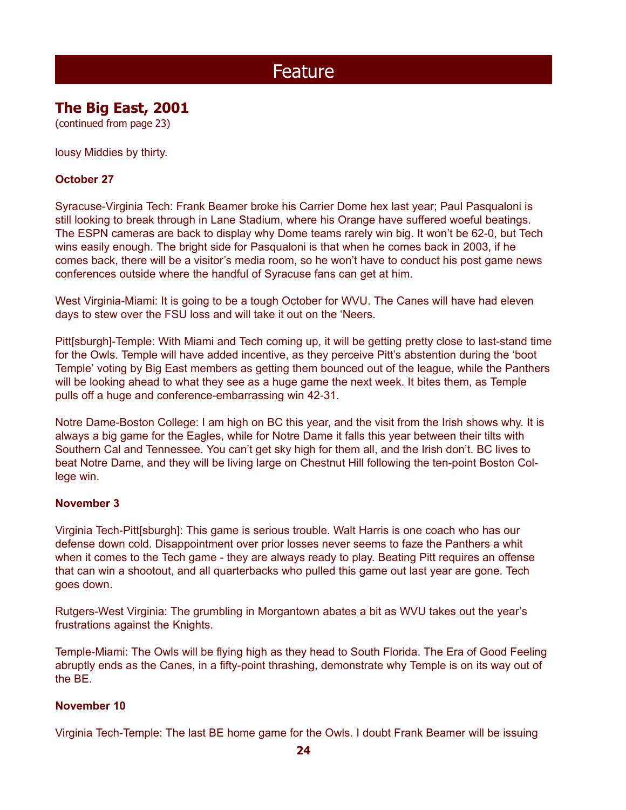## **The Big East, 2001**

(continued from page 23)

lousy Middies by thirty.

#### **October 27**

Syracuse-Virginia Tech: Frank Beamer broke his Carrier Dome hex last year; Paul Pasqualoni is still looking to break through in Lane Stadium, where his Orange have suffered woeful beatings. The ESPN cameras are back to display why Dome teams rarely win big. It won't be 62-0, but Tech wins easily enough. The bright side for Pasqualoni is that when he comes back in 2003, if he comes back, there will be a visitor's media room, so he won't have to conduct his post game news conferences outside where the handful of Syracuse fans can get at him.

West Virginia-Miami: It is going to be a tough October for WVU. The Canes will have had eleven days to stew over the FSU loss and will take it out on the 'Neers.

Pitt[sburgh]-Temple: With Miami and Tech coming up, it will be getting pretty close to last-stand time for the Owls. Temple will have added incentive, as they perceive Pitt's abstention during the 'boot Temple' voting by Big East members as getting them bounced out of the league, while the Panthers will be looking ahead to what they see as a huge game the next week. It bites them, as Temple pulls off a huge and conference-embarrassing win 42-31.

Notre Dame-Boston College: I am high on BC this year, and the visit from the Irish shows why. It is always a big game for the Eagles, while for Notre Dame it falls this year between their tilts with Southern Cal and Tennessee. You can't get sky high for them all, and the Irish don't. BC lives to beat Notre Dame, and they will be living large on Chestnut Hill following the ten-point Boston College win.

#### **November 3**

Virginia Tech-Pitt[sburgh]: This game is serious trouble. Walt Harris is one coach who has our defense down cold. Disappointment over prior losses never seems to faze the Panthers a whit when it comes to the Tech game - they are always ready to play. Beating Pitt requires an offense that can win a shootout, and all quarterbacks who pulled this game out last year are gone. Tech goes down.

Rutgers-West Virginia: The grumbling in Morgantown abates a bit as WVU takes out the year's frustrations against the Knights.

Temple-Miami: The Owls will be flying high as they head to South Florida. The Era of Good Feeling abruptly ends as the Canes, in a fifty-point thrashing, demonstrate why Temple is on its way out of the BE.

#### **November 10**

Virginia Tech-Temple: The last BE home game for the Owls. I doubt Frank Beamer will be issuing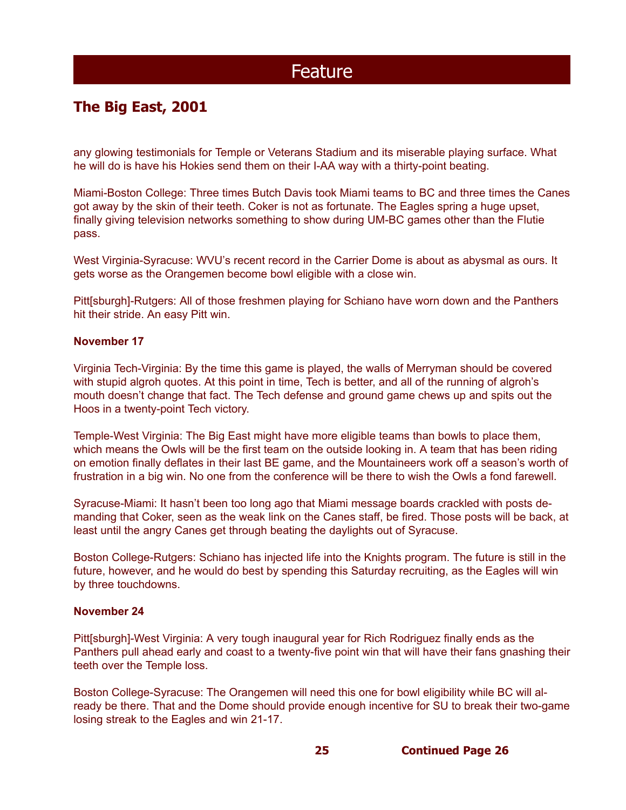### **The Big East, 2001**

any glowing testimonials for Temple or Veterans Stadium and its miserable playing surface. What he will do is have his Hokies send them on their I-AA way with a thirty-point beating.

Miami-Boston College: Three times Butch Davis took Miami teams to BC and three times the Canes got away by the skin of their teeth. Coker is not as fortunate. The Eagles spring a huge upset, finally giving television networks something to show during UM-BC games other than the Flutie pass.

West Virginia-Syracuse: WVU's recent record in the Carrier Dome is about as abysmal as ours. It gets worse as the Orangemen become bowl eligible with a close win.

Pitt[sburgh]-Rutgers: All of those freshmen playing for Schiano have worn down and the Panthers hit their stride. An easy Pitt win.

#### **November 17**

Virginia Tech-Virginia: By the time this game is played, the walls of Merryman should be covered with stupid algroh quotes. At this point in time, Tech is better, and all of the running of algroh's mouth doesn't change that fact. The Tech defense and ground game chews up and spits out the Hoos in a twenty-point Tech victory.

Temple-West Virginia: The Big East might have more eligible teams than bowls to place them, which means the Owls will be the first team on the outside looking in. A team that has been riding on emotion finally deflates in their last BE game, and the Mountaineers work off a season's worth of frustration in a big win. No one from the conference will be there to wish the Owls a fond farewell.

Syracuse-Miami: It hasn't been too long ago that Miami message boards crackled with posts demanding that Coker, seen as the weak link on the Canes staff, be fired. Those posts will be back, at least until the angry Canes get through beating the daylights out of Syracuse.

Boston College-Rutgers: Schiano has injected life into the Knights program. The future is still in the future, however, and he would do best by spending this Saturday recruiting, as the Eagles will win by three touchdowns.

#### **November 24**

Pitt[sburgh]-West Virginia: A very tough inaugural year for Rich Rodriguez finally ends as the Panthers pull ahead early and coast to a twenty-five point win that will have their fans gnashing their teeth over the Temple loss.

Boston College-Syracuse: The Orangemen will need this one for bowl eligibility while BC will already be there. That and the Dome should provide enough incentive for SU to break their two-game losing streak to the Eagles and win 21-17.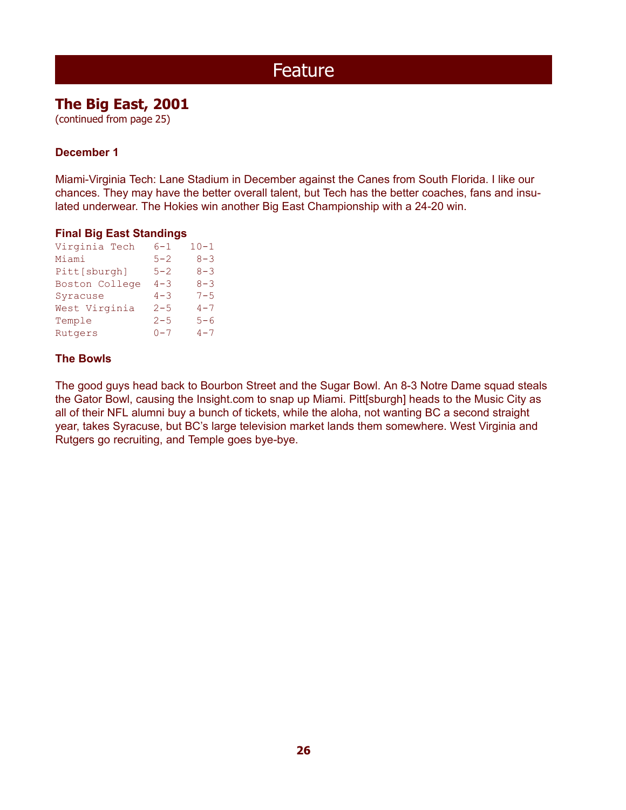### **The Big East, 2001**

(continued from page 25)

### **December 1**

Miami-Virginia Tech: Lane Stadium in December against the Canes from South Florida. I like our chances. They may have the better overall talent, but Tech has the better coaches, fans and insulated underwear. The Hokies win another Big East Championship with a 24-20 win.

#### **Final Big East Standings**

| Virginia Tech  | $6 - 1$ | $10 - 1$ |
|----------------|---------|----------|
| Miami          | $5 - 2$ | $8 - 3$  |
| Pitt[sburgh]   | $5 - 2$ | $8 - 3$  |
| Boston College | $4 - 3$ | $8 - 3$  |
| Syracuse       | $4 - 3$ | $7 - 5$  |
| West Virginia  | $2 - 5$ | $4 - 7$  |
| Temple         | $2 - 5$ | $5 - 6$  |
| Rutgers        | $0 - 7$ | $4 - 7$  |
|                |         |          |

### **The Bowls**

The good guys head back to Bourbon Street and the Sugar Bowl. An 8-3 Notre Dame squad steals the Gator Bowl, causing the Insight.com to snap up Miami. Pitt[sburgh] heads to the Music City as all of their NFL alumni buy a bunch of tickets, while the aloha, not wanting BC a second straight year, takes Syracuse, but BC's large television market lands them somewhere. West Virginia and Rutgers go recruiting, and Temple goes bye-bye.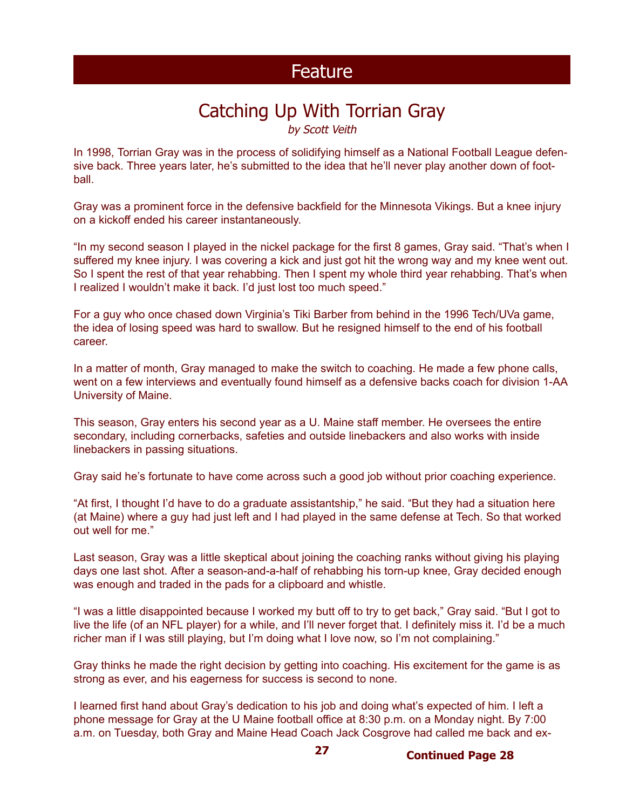## Catching Up With Torrian Gray

by Scott Veith

In 1998, Torrian Gray was in the process of solidifying himself as a National Football League defensive back. Three years later, he's submitted to the idea that he'll never play another down of football.

Gray was a prominent force in the defensive backfield for the Minnesota Vikings. But a knee injury on a kickoff ended his career instantaneously.

"In my second season I played in the nickel package for the first 8 games, Gray said. "That's when I suffered my knee injury. I was covering a kick and just got hit the wrong way and my knee went out. So I spent the rest of that year rehabbing. Then I spent my whole third year rehabbing. That's when I realized I wouldn't make it back. I'd just lost too much speed."

For a guy who once chased down Virginia's Tiki Barber from behind in the 1996 Tech/UVa game, the idea of losing speed was hard to swallow. But he resigned himself to the end of his football career.

In a matter of month, Gray managed to make the switch to coaching. He made a few phone calls, went on a few interviews and eventually found himself as a defensive backs coach for division 1-AA University of Maine.

This season, Gray enters his second year as a U. Maine staff member. He oversees the entire secondary, including cornerbacks, safeties and outside linebackers and also works with inside linebackers in passing situations.

Gray said he's fortunate to have come across such a good job without prior coaching experience.

"At first, I thought I'd have to do a graduate assistantship," he said. "But they had a situation here (at Maine) where a guy had just left and I had played in the same defense at Tech. So that worked out well for me."

Last season, Gray was a little skeptical about joining the coaching ranks without giving his playing days one last shot. After a season-and-a-half of rehabbing his torn-up knee, Gray decided enough was enough and traded in the pads for a clipboard and whistle.

"I was a little disappointed because I worked my butt off to try to get back," Gray said. "But I got to live the life (of an NFL player) for a while, and I'll never forget that. I definitely miss it. I'd be a much richer man if I was still playing, but I'm doing what I love now, so I'm not complaining."

Gray thinks he made the right decision by getting into coaching. His excitement for the game is as strong as ever, and his eagerness for success is second to none.

I learned first hand about Gray's dedication to his job and doing what's expected of him. I left a phone message for Gray at the U Maine football office at 8:30 p.m. on a Monday night. By 7:00 a.m. on Tuesday, both Gray and Maine Head Coach Jack Cosgrove had called me back and ex-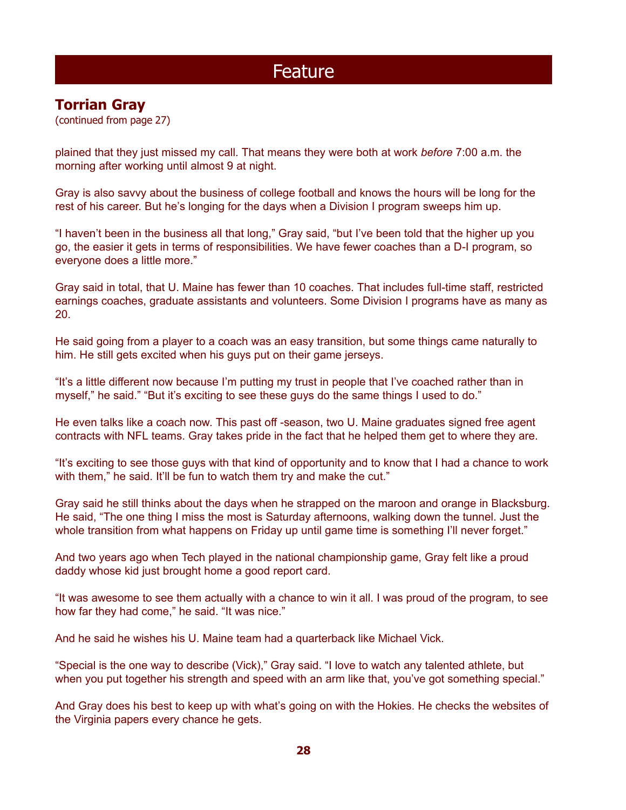### **Torrian Gray**

(continued from page 27)

plained that they just missed my call. That means they were both at work *before* 7:00 a.m. the morning after working until almost 9 at night.

Gray is also savvy about the business of college football and knows the hours will be long for the rest of his career. But he's longing for the days when a Division I program sweeps him up.

"I haven't been in the business all that long," Gray said, "but I've been told that the higher up you go, the easier it gets in terms of responsibilities. We have fewer coaches than a D-I program, so everyone does a little more."

Gray said in total, that U. Maine has fewer than 10 coaches. That includes full-time staff, restricted earnings coaches, graduate assistants and volunteers. Some Division I programs have as many as 20.

He said going from a player to a coach was an easy transition, but some things came naturally to him. He still gets excited when his guys put on their game jerseys.

"It's a little different now because I'm putting my trust in people that I've coached rather than in myself," he said." "But it's exciting to see these guys do the same things I used to do."

He even talks like a coach now. This past off -season, two U. Maine graduates signed free agent contracts with NFL teams. Gray takes pride in the fact that he helped them get to where they are.

"It's exciting to see those guys with that kind of opportunity and to know that I had a chance to work with them," he said. It'll be fun to watch them try and make the cut."

Gray said he still thinks about the days when he strapped on the maroon and orange in Blacksburg. He said, "The one thing I miss the most is Saturday afternoons, walking down the tunnel. Just the whole transition from what happens on Friday up until game time is something I'll never forget."

And two years ago when Tech played in the national championship game, Gray felt like a proud daddy whose kid just brought home a good report card.

"It was awesome to see them actually with a chance to win it all. I was proud of the program, to see how far they had come," he said. "It was nice."

And he said he wishes his U. Maine team had a quarterback like Michael Vick.

"Special is the one way to describe (Vick)," Gray said. "I love to watch any talented athlete, but when you put together his strength and speed with an arm like that, you've got something special."

And Gray does his best to keep up with what's going on with the Hokies. He checks the websites of the Virginia papers every chance he gets.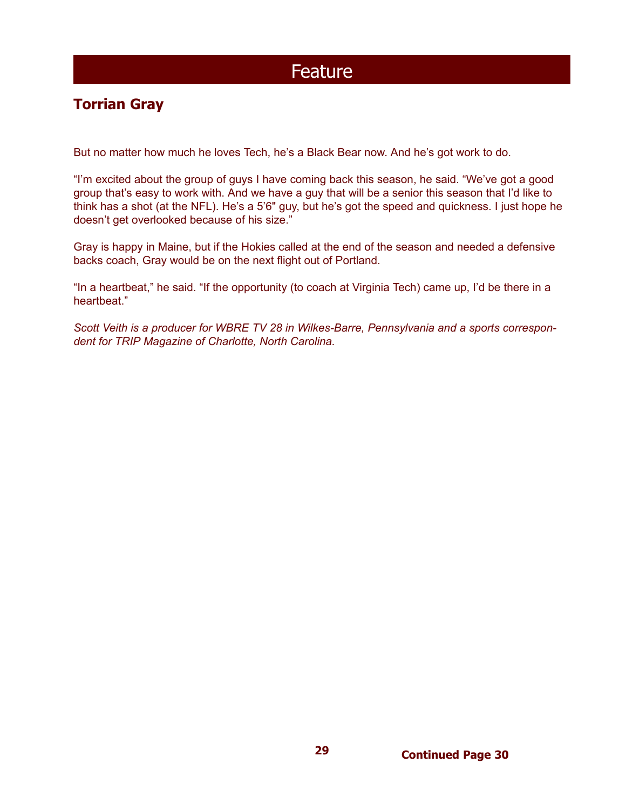### **Torrian Gray**

But no matter how much he loves Tech, he's a Black Bear now. And he's got work to do.

"I'm excited about the group of guys I have coming back this season, he said. "We've got a good group that's easy to work with. And we have a guy that will be a senior this season that I'd like to think has a shot (at the NFL). He's a 5'6" guy, but he's got the speed and quickness. I just hope he doesn't get overlooked because of his size."

Gray is happy in Maine, but if the Hokies called at the end of the season and needed a defensive backs coach, Gray would be on the next flight out of Portland.

"In a heartbeat," he said. "If the opportunity (to coach at Virginia Tech) came up, I'd be there in a heartheat."

*Scott Veith is a producer for WBRE TV 28 in Wilkes-Barre, Pennsylvania and a sports correspondent for TRIP Magazine of Charlotte, North Carolina.*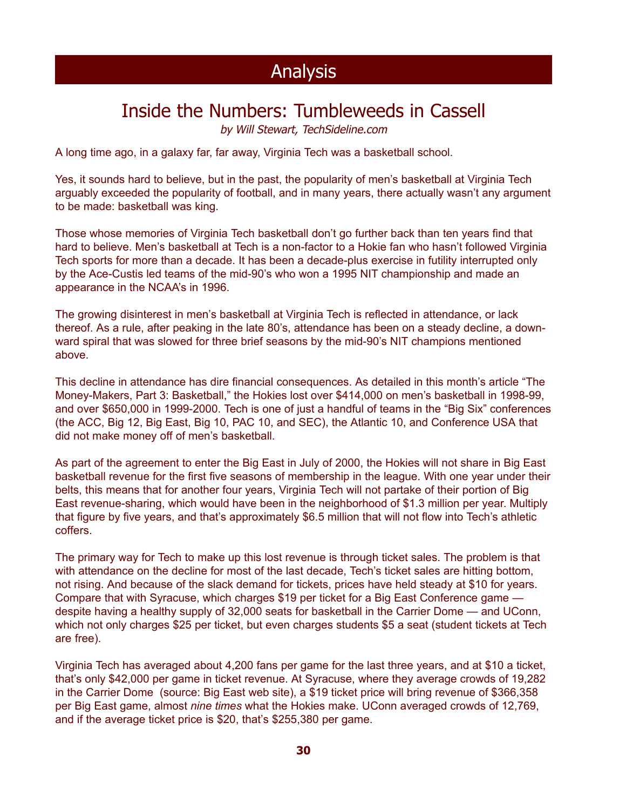## Inside the Numbers: Tumbleweeds in Cassell

by Will Stewart, TechSideline.com

A long time ago, in a galaxy far, far away, Virginia Tech was a basketball school.

Yes, it sounds hard to believe, but in the past, the popularity of men's basketball at Virginia Tech arguably exceeded the popularity of football, and in many years, there actually wasn't any argument to be made: basketball was king.

Those whose memories of Virginia Tech basketball don't go further back than ten years find that hard to believe. Men's basketball at Tech is a non-factor to a Hokie fan who hasn't followed Virginia Tech sports for more than a decade. It has been a decade-plus exercise in futility interrupted only by the Ace-Custis led teams of the mid-90's who won a 1995 NIT championship and made an appearance in the NCAA's in 1996.

The growing disinterest in men's basketball at Virginia Tech is reflected in attendance, or lack thereof. As a rule, after peaking in the late 80's, attendance has been on a steady decline, a downward spiral that was slowed for three brief seasons by the mid-90's NIT champions mentioned above.

This decline in attendance has dire financial consequences. As detailed in this month's article "The Money-Makers, Part 3: Basketball," the Hokies lost over \$414,000 on men's basketball in 1998-99, and over \$650,000 in 1999-2000. Tech is one of just a handful of teams in the "Big Six" conferences (the ACC, Big 12, Big East, Big 10, PAC 10, and SEC), the Atlantic 10, and Conference USA that did not make money off of men's basketball.

As part of the agreement to enter the Big East in July of 2000, the Hokies will not share in Big East basketball revenue for the first five seasons of membership in the league. With one year under their belts, this means that for another four years, Virginia Tech will not partake of their portion of Big East revenue-sharing, which would have been in the neighborhood of \$1.3 million per year. Multiply that figure by five years, and that's approximately \$6.5 million that will not flow into Tech's athletic coffers.

The primary way for Tech to make up this lost revenue is through ticket sales. The problem is that with attendance on the decline for most of the last decade, Tech's ticket sales are hitting bottom, not rising. And because of the slack demand for tickets, prices have held steady at \$10 for years. Compare that with Syracuse, which charges \$19 per ticket for a Big East Conference game despite having a healthy supply of 32,000 seats for basketball in the Carrier Dome — and UConn, which not only charges \$25 per ticket, but even charges students \$5 a seat (student tickets at Tech are free).

Virginia Tech has averaged about 4,200 fans per game for the last three years, and at \$10 a ticket, that's only \$42,000 per game in ticket revenue. At Syracuse, where they average crowds of 19,282 in the Carrier Dome (source: Big East web site), a \$19 ticket price will bring revenue of \$366,358 per Big East game, almost *nine times* what the Hokies make. UConn averaged crowds of 12,769, and if the average ticket price is \$20, that's \$255,380 per game.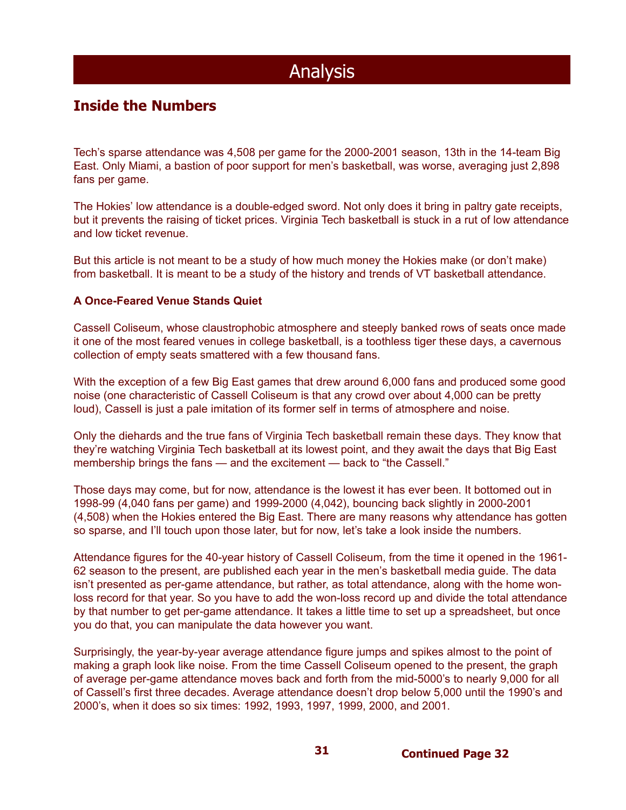### **Inside the Numbers**

Tech's sparse attendance was 4,508 per game for the 2000-2001 season, 13th in the 14-team Big East. Only Miami, a bastion of poor support for men's basketball, was worse, averaging just 2,898 fans per game.

The Hokies' low attendance is a double-edged sword. Not only does it bring in paltry gate receipts, but it prevents the raising of ticket prices. Virginia Tech basketball is stuck in a rut of low attendance and low ticket revenue.

But this article is not meant to be a study of how much money the Hokies make (or don't make) from basketball. It is meant to be a study of the history and trends of VT basketball attendance.

#### **A Once-Feared Venue Stands Quiet**

Cassell Coliseum, whose claustrophobic atmosphere and steeply banked rows of seats once made it one of the most feared venues in college basketball, is a toothless tiger these days, a cavernous collection of empty seats smattered with a few thousand fans.

With the exception of a few Big East games that drew around 6,000 fans and produced some good noise (one characteristic of Cassell Coliseum is that any crowd over about 4,000 can be pretty loud), Cassell is just a pale imitation of its former self in terms of atmosphere and noise.

Only the diehards and the true fans of Virginia Tech basketball remain these days. They know that they're watching Virginia Tech basketball at its lowest point, and they await the days that Big East membership brings the fans — and the excitement — back to "the Cassell."

Those days may come, but for now, attendance is the lowest it has ever been. It bottomed out in 1998-99 (4,040 fans per game) and 1999-2000 (4,042), bouncing back slightly in 2000-2001 (4,508) when the Hokies entered the Big East. There are many reasons why attendance has gotten so sparse, and I'll touch upon those later, but for now, let's take a look inside the numbers.

Attendance figures for the 40-year history of Cassell Coliseum, from the time it opened in the 1961- 62 season to the present, are published each year in the men's basketball media guide. The data isn't presented as per-game attendance, but rather, as total attendance, along with the home wonloss record for that year. So you have to add the won-loss record up and divide the total attendance by that number to get per-game attendance. It takes a little time to set up a spreadsheet, but once you do that, you can manipulate the data however you want.

Surprisingly, the year-by-year average attendance figure jumps and spikes almost to the point of making a graph look like noise. From the time Cassell Coliseum opened to the present, the graph of average per-game attendance moves back and forth from the mid-5000's to nearly 9,000 for all of Cassell's first three decades. Average attendance doesn't drop below 5,000 until the 1990's and 2000's, when it does so six times: 1992, 1993, 1997, 1999, 2000, and 2001.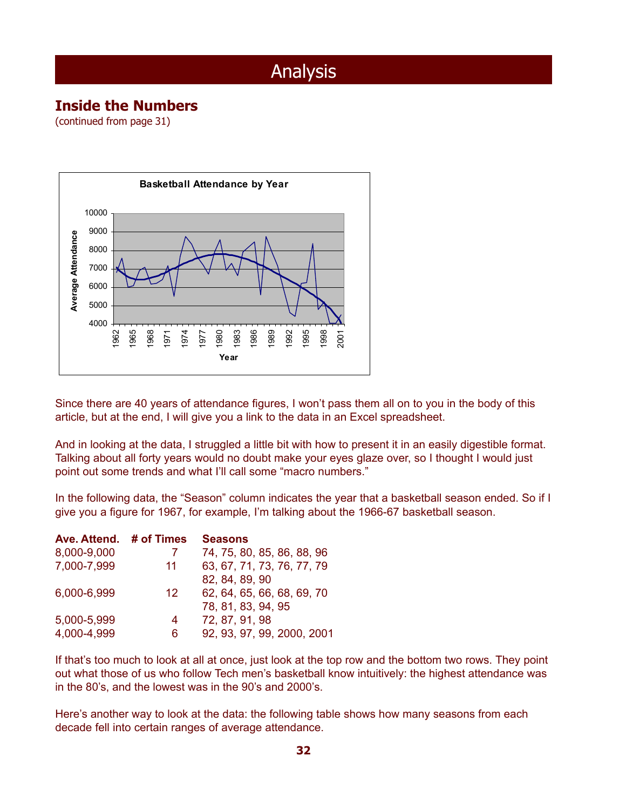### **Inside the Numbers**

(continued from page 31)



Since there are 40 years of attendance figures, I won't pass them all on to you in the body of this article, but at the end, I will give you a link to the data in an Excel spreadsheet.

And in looking at the data, I struggled a little bit with how to present it in an easily digestible format. Talking about all forty years would no doubt make your eyes glaze over, so I thought I would just point out some trends and what I'll call some "macro numbers."

In the following data, the "Season" column indicates the year that a basketball season ended. So if I give you a figure for 1967, for example, I'm talking about the 1966-67 basketball season.

| Ave. Attend. | # of Times      | <b>Seasons</b>             |
|--------------|-----------------|----------------------------|
| 8,000-9,000  |                 | 74, 75, 80, 85, 86, 88, 96 |
| 7,000-7,999  | 11              | 63, 67, 71, 73, 76, 77, 79 |
|              |                 | 82, 84, 89, 90             |
| 6,000-6,999  | 12 <sup>°</sup> | 62, 64, 65, 66, 68, 69, 70 |
|              |                 | 78, 81, 83, 94, 95         |
| 5,000-5,999  | 4               | 72, 87, 91, 98             |
| 4,000-4,999  | 6               | 92, 93, 97, 99, 2000, 2001 |

If that's too much to look at all at once, just look at the top row and the bottom two rows. They point out what those of us who follow Tech men's basketball know intuitively: the highest attendance was in the 80's, and the lowest was in the 90's and 2000's.

Here's another way to look at the data: the following table shows how many seasons from each decade fell into certain ranges of average attendance.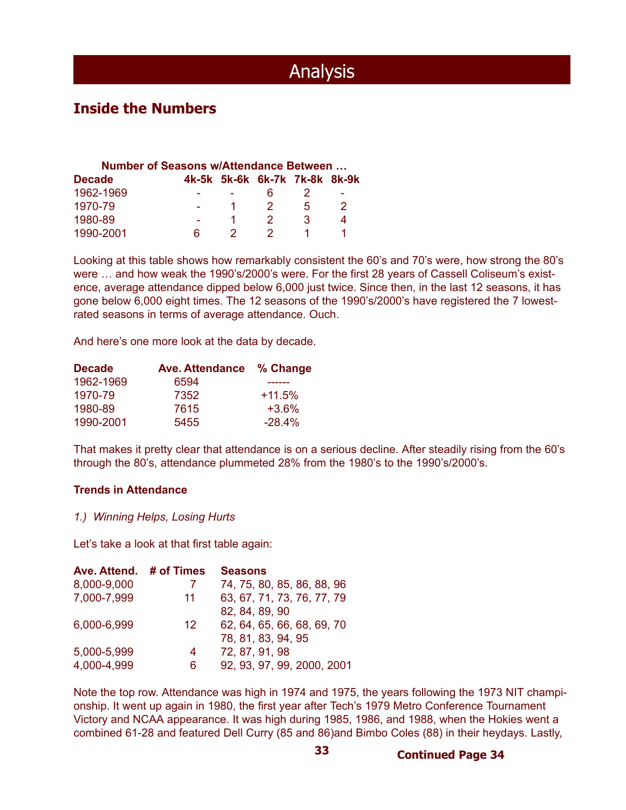### **Inside the Numbers**

| <b>Number of Seasons w/Attendance Between</b> |  |  |                               |   |   |
|-----------------------------------------------|--|--|-------------------------------|---|---|
| <b>Decade</b>                                 |  |  | 4k-5k 5k-6k 6k-7k 7k-8k 8k-9k |   |   |
| 1962-1969                                     |  |  |                               |   |   |
| 1970-79                                       |  |  | - 2 -                         | 5 | 2 |
| 1980-89                                       |  |  | 2                             | ર |   |
| 1990-2001                                     |  |  |                               |   |   |

Looking at this table shows how remarkably consistent the 60's and 70's were, how strong the 80's were … and how weak the 1990's/2000's were. For the first 28 years of Cassell Coliseum's existence, average attendance dipped below 6,000 just twice. Since then, in the last 12 seasons, it has gone below 6,000 eight times. The 12 seasons of the 1990's/2000's have registered the 7 lowestrated seasons in terms of average attendance. Ouch.

And here's one more look at the data by decade.

| 6594 |                          |
|------|--------------------------|
| 7352 | $+11.5%$                 |
| 7615 | $+3.6%$                  |
| 5455 | $-28.4%$                 |
|      | Ave. Attendance % Change |

That makes it pretty clear that attendance is on a serious decline. After steadily rising from the 60's through the 80's, attendance plummeted 28% from the 1980's to the 1990's/2000's.

#### **Trends in Attendance**

#### *1.) Winning Helps, Losing Hurts*

Let's take a look at that first table again:

| Ave. Attend. | # of Times | <b>Seasons</b>             |
|--------------|------------|----------------------------|
| 8,000-9,000  |            | 74, 75, 80, 85, 86, 88, 96 |
| 7,000-7,999  | 11         | 63, 67, 71, 73, 76, 77, 79 |
|              |            | 82, 84, 89, 90             |
| 6,000-6,999  | 12         | 62, 64, 65, 66, 68, 69, 70 |
|              |            | 78, 81, 83, 94, 95         |
| 5,000-5,999  | 4          | 72, 87, 91, 98             |
| 4,000-4,999  | 6          | 92, 93, 97, 99, 2000, 2001 |

Note the top row. Attendance was high in 1974 and 1975, the years following the 1973 NIT championship. It went up again in 1980, the first year after Tech's 1979 Metro Conference Tournament Victory and NCAA appearance. It was high during 1985, 1986, and 1988, when the Hokies went a combined 61-28 and featured Dell Curry (85 and 86)and Bimbo Coles (88) in their heydays. Lastly,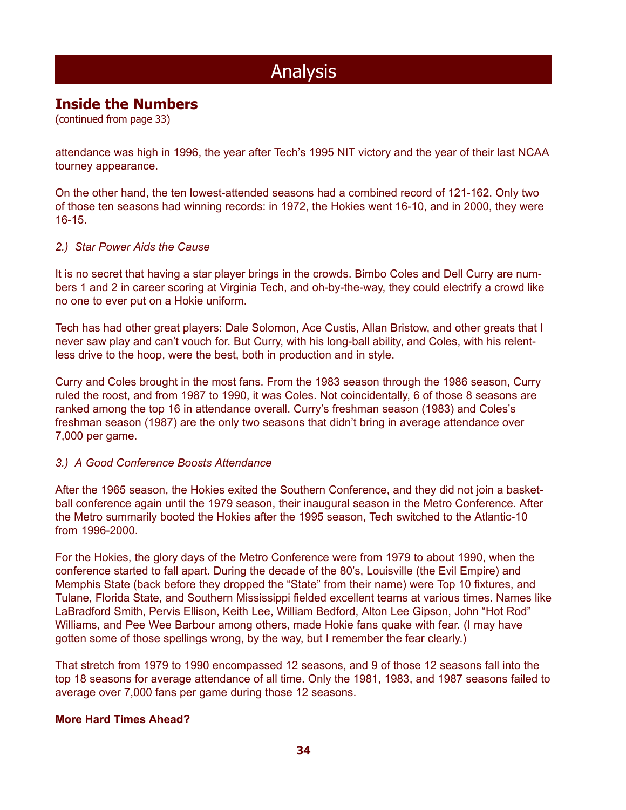### **Inside the Numbers**

(continued from page 33)

attendance was high in 1996, the year after Tech's 1995 NIT victory and the year of their last NCAA tourney appearance.

On the other hand, the ten lowest-attended seasons had a combined record of 121-162. Only two of those ten seasons had winning records: in 1972, the Hokies went 16-10, and in 2000, they were 16-15.

#### *2.) Star Power Aids the Cause*

It is no secret that having a star player brings in the crowds. Bimbo Coles and Dell Curry are numbers 1 and 2 in career scoring at Virginia Tech, and oh-by-the-way, they could electrify a crowd like no one to ever put on a Hokie uniform.

Tech has had other great players: Dale Solomon, Ace Custis, Allan Bristow, and other greats that I never saw play and can't vouch for. But Curry, with his long-ball ability, and Coles, with his relentless drive to the hoop, were the best, both in production and in style.

Curry and Coles brought in the most fans. From the 1983 season through the 1986 season, Curry ruled the roost, and from 1987 to 1990, it was Coles. Not coincidentally, 6 of those 8 seasons are ranked among the top 16 in attendance overall. Curry's freshman season (1983) and Coles's freshman season (1987) are the only two seasons that didn't bring in average attendance over 7,000 per game.

#### *3.) A Good Conference Boosts Attendance*

After the 1965 season, the Hokies exited the Southern Conference, and they did not join a basketball conference again until the 1979 season, their inaugural season in the Metro Conference. After the Metro summarily booted the Hokies after the 1995 season, Tech switched to the Atlantic-10 from 1996-2000.

For the Hokies, the glory days of the Metro Conference were from 1979 to about 1990, when the conference started to fall apart. During the decade of the 80's, Louisville (the Evil Empire) and Memphis State (back before they dropped the "State" from their name) were Top 10 fixtures, and Tulane, Florida State, and Southern Mississippi fielded excellent teams at various times. Names like LaBradford Smith, Pervis Ellison, Keith Lee, William Bedford, Alton Lee Gipson, John "Hot Rod" Williams, and Pee Wee Barbour among others, made Hokie fans quake with fear. (I may have gotten some of those spellings wrong, by the way, but I remember the fear clearly.)

That stretch from 1979 to 1990 encompassed 12 seasons, and 9 of those 12 seasons fall into the top 18 seasons for average attendance of all time. Only the 1981, 1983, and 1987 seasons failed to average over 7,000 fans per game during those 12 seasons.

#### **More Hard Times Ahead?**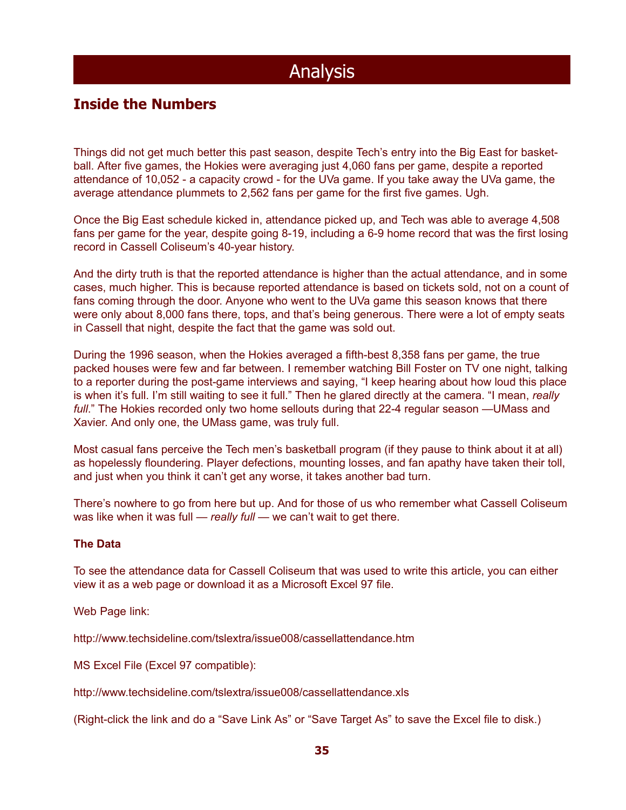### **Inside the Numbers**

Things did not get much better this past season, despite Tech's entry into the Big East for basketball. After five games, the Hokies were averaging just 4,060 fans per game, despite a reported attendance of 10,052 - a capacity crowd - for the UVa game. If you take away the UVa game, the average attendance plummets to 2,562 fans per game for the first five games. Ugh.

Once the Big East schedule kicked in, attendance picked up, and Tech was able to average 4,508 fans per game for the year, despite going 8-19, including a 6-9 home record that was the first losing record in Cassell Coliseum's 40-year history.

And the dirty truth is that the reported attendance is higher than the actual attendance, and in some cases, much higher. This is because reported attendance is based on tickets sold, not on a count of fans coming through the door. Anyone who went to the UVa game this season knows that there were only about 8,000 fans there, tops, and that's being generous. There were a lot of empty seats in Cassell that night, despite the fact that the game was sold out.

During the 1996 season, when the Hokies averaged a fifth-best 8,358 fans per game, the true packed houses were few and far between. I remember watching Bill Foster on TV one night, talking to a reporter during the post-game interviews and saying, "I keep hearing about how loud this place is when it's full. I'm still waiting to see it full." Then he glared directly at the camera. "I mean, *really full*." The Hokies recorded only two home sellouts during that 22-4 regular season —UMass and Xavier. And only one, the UMass game, was truly full.

Most casual fans perceive the Tech men's basketball program (if they pause to think about it at all) as hopelessly floundering. Player defections, mounting losses, and fan apathy have taken their toll, and just when you think it can't get any worse, it takes another bad turn.

There's nowhere to go from here but up. And for those of us who remember what Cassell Coliseum was like when it was full — *really full* — we can't wait to get there.

#### **The Data**

To see the attendance data for Cassell Coliseum that was used to write this article, you can either view it as a web page or download it as a Microsoft Excel 97 file.

Web Page link:

http://www.techsideline.com/tslextra/issue008/cassellattendance.htm

MS Excel File (Excel 97 compatible):

http://www.techsideline.com/tslextra/issue008/cassellattendance.xls

(Right-click the link and do a "Save Link As" or "Save Target As" to save the Excel file to disk.)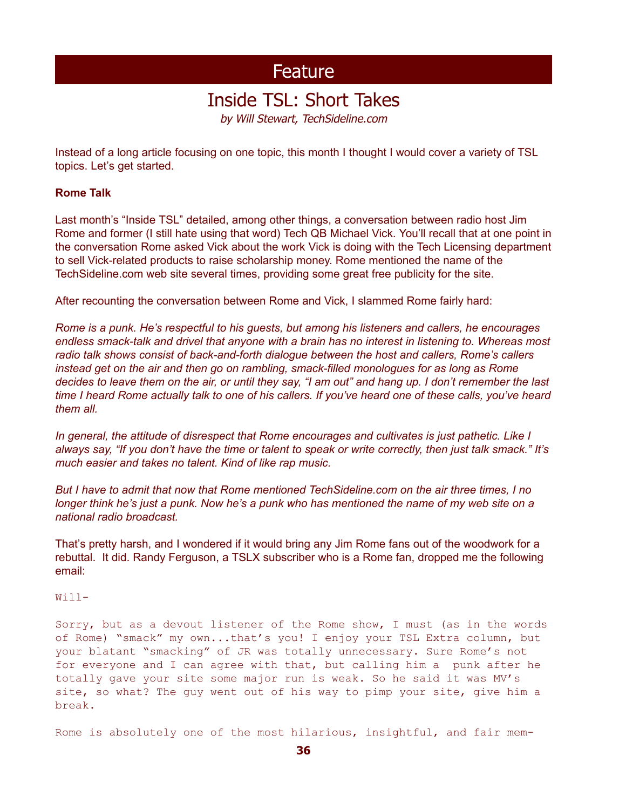## Inside TSL: Short Takes

by Will Stewart, TechSideline.com

Instead of a long article focusing on one topic, this month I thought I would cover a variety of TSL topics. Let's get started.

#### **Rome Talk**

Last month's "Inside TSL" detailed, among other things, a conversation between radio host Jim Rome and former (I still hate using that word) Tech QB Michael Vick. You'll recall that at one point in the conversation Rome asked Vick about the work Vick is doing with the Tech Licensing department to sell Vick-related products to raise scholarship money. Rome mentioned the name of the TechSideline.com web site several times, providing some great free publicity for the site.

After recounting the conversation between Rome and Vick, I slammed Rome fairly hard:

*Rome is a punk. He's respectful to his guests, but among his listeners and callers, he encourages endless smack-talk and drivel that anyone with a brain has no interest in listening to. Whereas most radio talk shows consist of back-and-forth dialogue between the host and callers, Rome's callers instead get on the air and then go on rambling, smack-filled monologues for as long as Rome decides to leave them on the air, or until they say, "I am out" and hang up. I don't remember the last time I heard Rome actually talk to one of his callers. If you've heard one of these calls, you've heard them all.*

*In general, the attitude of disrespect that Rome encourages and cultivates is just pathetic. Like I always say, "If you don't have the time or talent to speak or write correctly, then just talk smack." It's much easier and takes no talent. Kind of like rap music.*

*But I have to admit that now that Rome mentioned TechSideline.com on the air three times, I no longer think he's just a punk. Now he's a punk who has mentioned the name of my web site on a national radio broadcast.*

That's pretty harsh, and I wondered if it would bring any Jim Rome fans out of the woodwork for a rebuttal. It did. Randy Ferguson, a TSLX subscriber who is a Rome fan, dropped me the following email:

#### Will-

Sorry, but as a devout listener of the Rome show, I must (as in the words of Rome) "smack" my own...that's you! I enjoy your TSL Extra column, but your blatant "smacking" of JR was totally unnecessary. Sure Rome's not for everyone and I can agree with that, but calling him a punk after he totally gave your site some major run is weak. So he said it was MV's site, so what? The guy went out of his way to pimp your site, give him a break.

Rome is absolutely one of the most hilarious, insightful, and fair mem-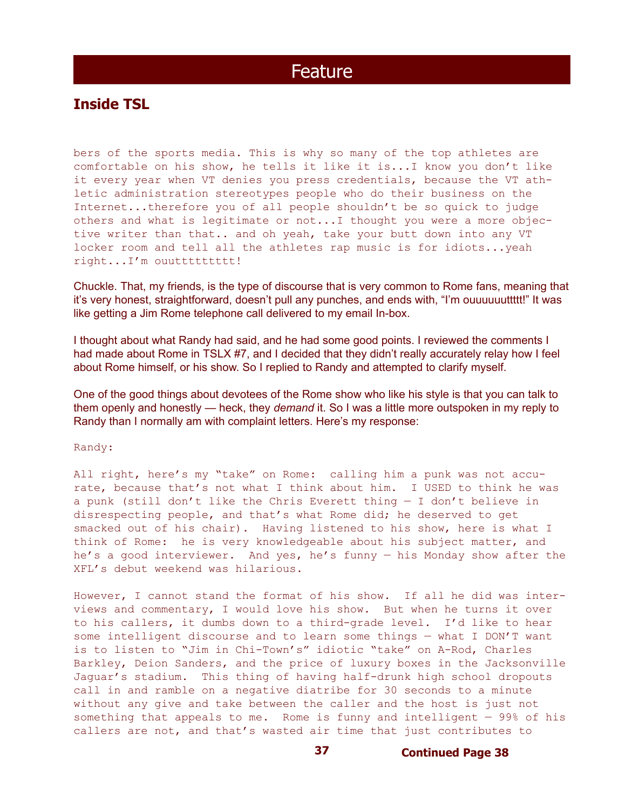### **Inside TSL**

bers of the sports media. This is why so many of the top athletes are comfortable on his show, he tells it like it is...I know you don't like it every year when VT denies you press credentials, because the VT athletic administration stereotypes people who do their business on the Internet...therefore you of all people shouldn't be so quick to judge others and what is legitimate or not...I thought you were a more objective writer than that.. and oh yeah, take your butt down into any VT locker room and tell all the athletes rap music is for idiots...yeah right...I'm ouuttttttttt!

Chuckle. That, my friends, is the type of discourse that is very common to Rome fans, meaning that it's very honest, straightforward, doesn't pull any punches, and ends with, "I'm ouuuuuuttttt!" It was like getting a Jim Rome telephone call delivered to my email In-box.

I thought about what Randy had said, and he had some good points. I reviewed the comments I had made about Rome in TSLX #7, and I decided that they didn't really accurately relay how I feel about Rome himself, or his show. So I replied to Randy and attempted to clarify myself.

One of the good things about devotees of the Rome show who like his style is that you can talk to them openly and honestly — heck, they *demand* it. So I was a little more outspoken in my reply to Randy than I normally am with complaint letters. Here's my response:

Randy:

All right, here's my "take" on Rome: calling him a punk was not accurate, because that's not what I think about him. I USED to think he was a punk (still don't like the Chris Everett thing — I don't believe in disrespecting people, and that's what Rome did; he deserved to get smacked out of his chair). Having listened to his show, here is what I think of Rome: he is very knowledgeable about his subject matter, and he's a good interviewer. And yes, he's funny — his Monday show after the XFL's debut weekend was hilarious.

However, I cannot stand the format of his show. If all he did was interviews and commentary, I would love his show. But when he turns it over to his callers, it dumbs down to a third-grade level. I'd like to hear some intelligent discourse and to learn some things — what I DON'T want is to listen to "Jim in Chi-Town's" idiotic "take" on A-Rod, Charles Barkley, Deion Sanders, and the price of luxury boxes in the Jacksonville Jaguar's stadium. This thing of having half-drunk high school dropouts call in and ramble on a negative diatribe for 30 seconds to a minute without any give and take between the caller and the host is just not something that appeals to me. Rome is funny and intelligent — 99% of his callers are not, and that's wasted air time that just contributes to

**37 Continued Page 38**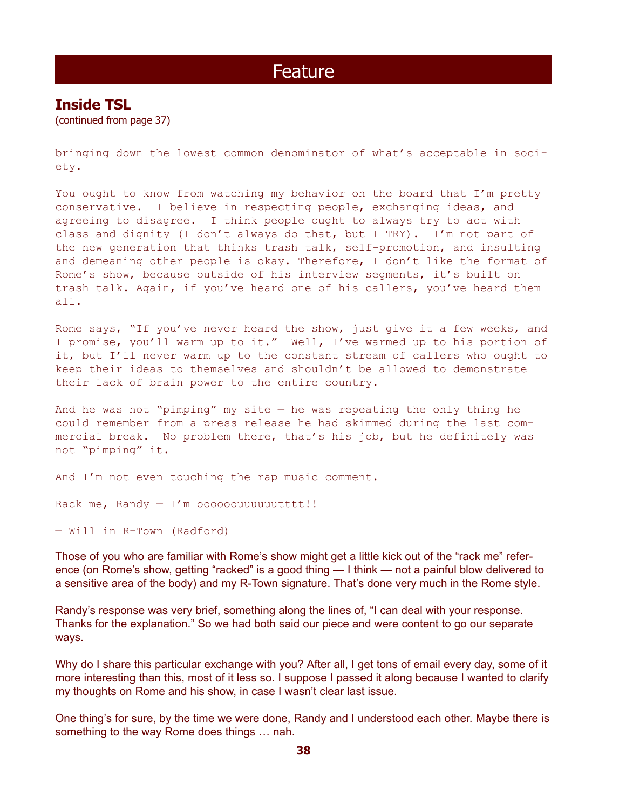### **Inside TSL**

(continued from page 37)

bringing down the lowest common denominator of what's acceptable in society.

You ought to know from watching my behavior on the board that I'm pretty conservative. I believe in respecting people, exchanging ideas, and agreeing to disagree. I think people ought to always try to act with class and dignity (I don't always do that, but I TRY). I'm not part of the new generation that thinks trash talk, self-promotion, and insulting and demeaning other people is okay. Therefore, I don't like the format of Rome's show, because outside of his interview segments, it's built on trash talk. Again, if you've heard one of his callers, you've heard them all.

Rome says, "If you've never heard the show, just give it a few weeks, and I promise, you'll warm up to it." Well, I've warmed up to his portion of it, but I'll never warm up to the constant stream of callers who ought to keep their ideas to themselves and shouldn't be allowed to demonstrate their lack of brain power to the entire country.

And he was not "pimping" my site  $-$  he was repeating the only thing he could remember from a press release he had skimmed during the last commercial break. No problem there, that's his job, but he definitely was not "pimping" it.

And I'm not even touching the rap music comment.

Rack me, Randy  $-$  I'm oooooouuuuuutttt!!

— Will in R-Town (Radford)

Those of you who are familiar with Rome's show might get a little kick out of the "rack me" reference (on Rome's show, getting "racked" is a good thing — I think — not a painful blow delivered to a sensitive area of the body) and my R-Town signature. That's done very much in the Rome style.

Randy's response was very brief, something along the lines of, "I can deal with your response. Thanks for the explanation." So we had both said our piece and were content to go our separate ways.

Why do I share this particular exchange with you? After all, I get tons of email every day, some of it more interesting than this, most of it less so. I suppose I passed it along because I wanted to clarify my thoughts on Rome and his show, in case I wasn't clear last issue.

One thing's for sure, by the time we were done, Randy and I understood each other. Maybe there is something to the way Rome does things … nah.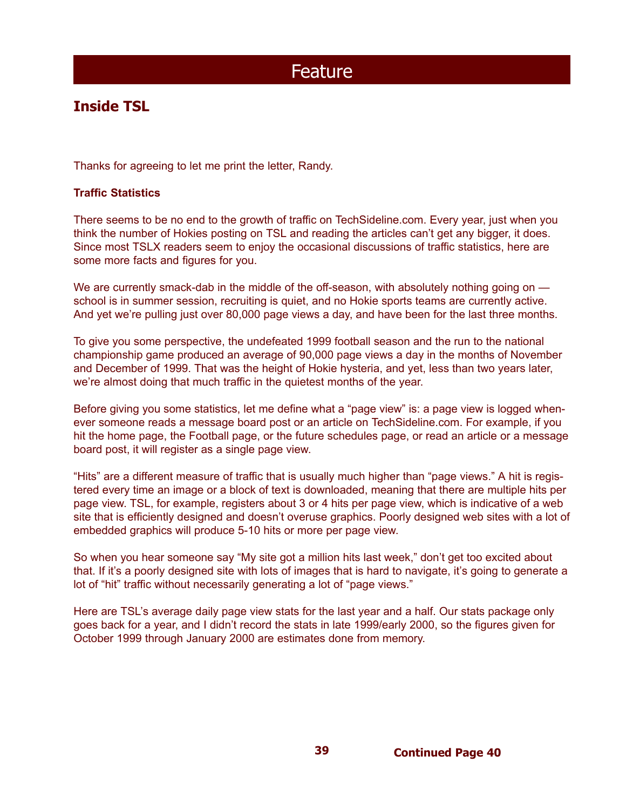### **Inside TSL**

Thanks for agreeing to let me print the letter, Randy.

#### **Traffic Statistics**

There seems to be no end to the growth of traffic on TechSideline.com. Every year, just when you think the number of Hokies posting on TSL and reading the articles can't get any bigger, it does. Since most TSLX readers seem to enjoy the occasional discussions of traffic statistics, here are some more facts and figures for you.

We are currently smack-dab in the middle of the off-season, with absolutely nothing going on school is in summer session, recruiting is quiet, and no Hokie sports teams are currently active. And yet we're pulling just over 80,000 page views a day, and have been for the last three months.

To give you some perspective, the undefeated 1999 football season and the run to the national championship game produced an average of 90,000 page views a day in the months of November and December of 1999. That was the height of Hokie hysteria, and yet, less than two years later, we're almost doing that much traffic in the quietest months of the year.

Before giving you some statistics, let me define what a "page view" is: a page view is logged whenever someone reads a message board post or an article on TechSideline.com. For example, if you hit the home page, the Football page, or the future schedules page, or read an article or a message board post, it will register as a single page view.

"Hits" are a different measure of traffic that is usually much higher than "page views." A hit is registered every time an image or a block of text is downloaded, meaning that there are multiple hits per page view. TSL, for example, registers about 3 or 4 hits per page view, which is indicative of a web site that is efficiently designed and doesn't overuse graphics. Poorly designed web sites with a lot of embedded graphics will produce 5-10 hits or more per page view.

So when you hear someone say "My site got a million hits last week," don't get too excited about that. If it's a poorly designed site with lots of images that is hard to navigate, it's going to generate a lot of "hit" traffic without necessarily generating a lot of "page views."

Here are TSL's average daily page view stats for the last year and a half. Our stats package only goes back for a year, and I didn't record the stats in late 1999/early 2000, so the figures given for October 1999 through January 2000 are estimates done from memory.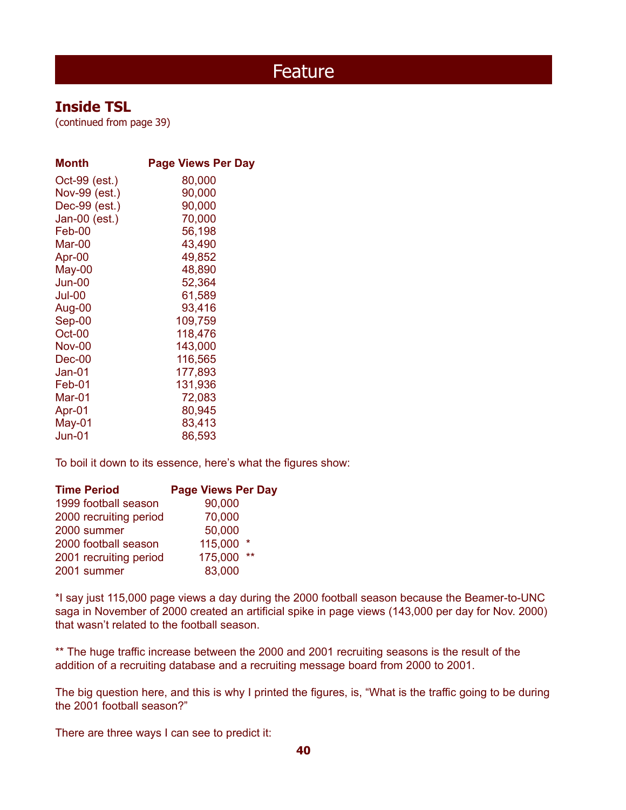### **Inside TSL**

(continued from page 39)

| <b>Month</b>  | <b>Page Views Per Day</b> |
|---------------|---------------------------|
| Oct-99 (est.) | 80,000                    |
| Nov-99 (est.) | 90,000                    |
| Dec-99 (est.) | 90,000                    |
| Jan-00 (est.) | 70,000                    |
| Feb-00        | 56,198                    |
| Mar-00        | 43,490                    |
| Apr-00        | 49,852                    |
| May-00        | 48,890                    |
| Jun-00        | 52,364                    |
| Jul-00        | 61,589                    |
| Aug-00        | 93,416                    |
| $Sep-00$      | 109,759                   |
| Oct-00        | 118,476                   |
| <b>Nov-00</b> | 143,000                   |
| Dec-00        | 116,565                   |
| Jan-01        | 177,893                   |
| Feb-01        | 131,936                   |
| Mar-01        | 72,083                    |
| Apr-01        | 80,945                    |
| May-01        | 83,413                    |
| Jun-01        | 86,593                    |

To boil it down to its essence, here's what the figures show:

| <b>Time Period</b>     | <b>Page Views Per Day</b> |
|------------------------|---------------------------|
| 1999 football season   | 90,000                    |
| 2000 recruiting period | 70,000                    |
| 2000 summer            | 50,000                    |
| 2000 football season   | 115,000<br>*              |
| 2001 recruiting period | 175,000<br>$***$          |
| 2001 summer            | 83,000                    |
|                        |                           |

\*I say just 115,000 page views a day during the 2000 football season because the Beamer-to-UNC saga in November of 2000 created an artificial spike in page views (143,000 per day for Nov. 2000) that wasn't related to the football season.

\*\* The huge traffic increase between the 2000 and 2001 recruiting seasons is the result of the addition of a recruiting database and a recruiting message board from 2000 to 2001.

The big question here, and this is why I printed the figures, is, "What is the traffic going to be during the 2001 football season?"

There are three ways I can see to predict it: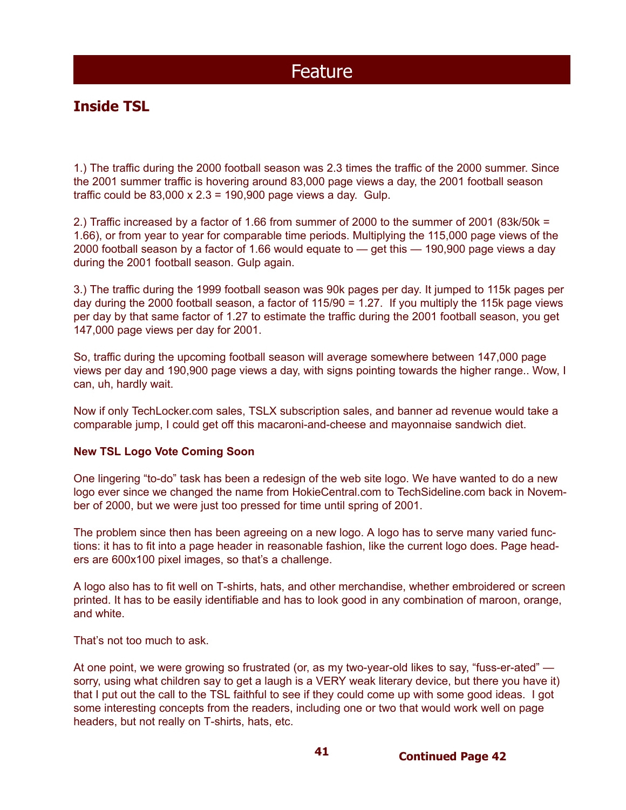### **Inside TSL**

1.) The traffic during the 2000 football season was 2.3 times the traffic of the 2000 summer. Since the 2001 summer traffic is hovering around 83,000 page views a day, the 2001 football season traffic could be  $83,000 \times 2.3 = 190,900$  page views a day. Gulp.

2.) Traffic increased by a factor of 1.66 from summer of 2000 to the summer of 2001 (83k/50k = 1.66), or from year to year for comparable time periods. Multiplying the 115,000 page views of the 2000 football season by a factor of 1.66 would equate to — get this — 190,900 page views a day during the 2001 football season. Gulp again.

3.) The traffic during the 1999 football season was 90k pages per day. It jumped to 115k pages per day during the 2000 football season, a factor of 115/90 = 1.27. If you multiply the 115k page views per day by that same factor of 1.27 to estimate the traffic during the 2001 football season, you get 147,000 page views per day for 2001.

So, traffic during the upcoming football season will average somewhere between 147,000 page views per day and 190,900 page views a day, with signs pointing towards the higher range.. Wow, I can, uh, hardly wait.

Now if only TechLocker.com sales, TSLX subscription sales, and banner ad revenue would take a comparable jump, I could get off this macaroni-and-cheese and mayonnaise sandwich diet.

#### **New TSL Logo Vote Coming Soon**

One lingering "to-do" task has been a redesign of the web site logo. We have wanted to do a new logo ever since we changed the name from HokieCentral.com to TechSideline.com back in November of 2000, but we were just too pressed for time until spring of 2001.

The problem since then has been agreeing on a new logo. A logo has to serve many varied functions: it has to fit into a page header in reasonable fashion, like the current logo does. Page headers are 600x100 pixel images, so that's a challenge.

A logo also has to fit well on T-shirts, hats, and other merchandise, whether embroidered or screen printed. It has to be easily identifiable and has to look good in any combination of maroon, orange, and white.

That's not too much to ask.

At one point, we were growing so frustrated (or, as my two-year-old likes to say, "fuss-er-ated" sorry, using what children say to get a laugh is a VERY weak literary device, but there you have it) that I put out the call to the TSL faithful to see if they could come up with some good ideas. I got some interesting concepts from the readers, including one or two that would work well on page headers, but not really on T-shirts, hats, etc.